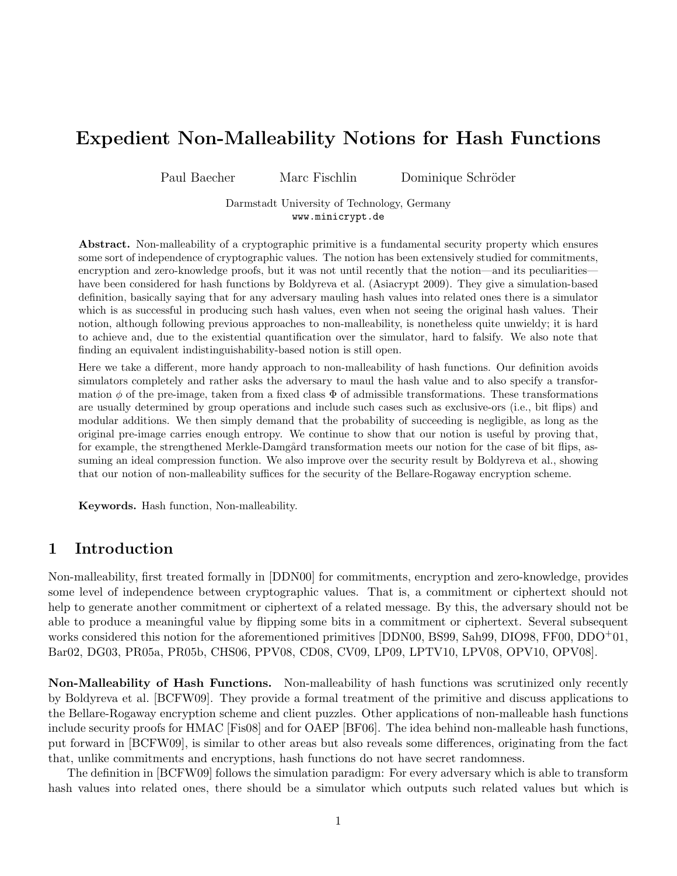# Expedient Non-Malleability Notions for Hash Functions

Paul Baecher Marc Fischlin Dominique Schröder

Darmstadt University of Technology, Germany www.minicrypt.de

Abstract. Non-malleability of a cryptographic primitive is a fundamental security property which ensures some sort of independence of cryptographic values. The notion has been extensively studied for commitments, encryption and zero-knowledge proofs, but it was not until recently that the notion—and its peculiarities have been considered for hash functions by Boldyreva et al. (Asiacrypt 2009). They give a simulation-based definition, basically saying that for any adversary mauling hash values into related ones there is a simulator which is as successful in producing such hash values, even when not seeing the original hash values. Their notion, although following previous approaches to non-malleability, is nonetheless quite unwieldy; it is hard to achieve and, due to the existential quantification over the simulator, hard to falsify. We also note that finding an equivalent indistinguishability-based notion is still open.

Here we take a different, more handy approach to non-malleability of hash functions. Our definition avoids simulators completely and rather asks the adversary to maul the hash value and to also specify a transformation  $\phi$  of the pre-image, taken from a fixed class  $\Phi$  of admissible transformations. These transformations are usually determined by group operations and include such cases such as exclusive-ors (i.e., bit flips) and modular additions. We then simply demand that the probability of succeeding is negligible, as long as the original pre-image carries enough entropy. We continue to show that our notion is useful by proving that, for example, the strengthened Merkle-Damgård transformation meets our notion for the case of bit flips, assuming an ideal compression function. We also improve over the security result by Boldyreva et al., showing that our notion of non-malleability suffices for the security of the Bellare-Rogaway encryption scheme.

Keywords. Hash function, Non-malleability.

### 1 Introduction

Non-malleability, first treated formally in [DDN00] for commitments, encryption and zero-knowledge, provides some level of independence between cryptographic values. That is, a commitment or ciphertext should not help to generate another commitment or ciphertext of a related message. By this, the adversary should not be able to produce a meaningful value by flipping some bits in a commitment or ciphertext. Several subsequent works considered this notion for the aforementioned primitives [DDN00, BS99, Sah99, DIO98, FF00, DDO+01, Bar02, DG03, PR05a, PR05b, CHS06, PPV08, CD08, CV09, LP09, LPTV10, LPV08, OPV10, OPV08].

Non-Malleability of Hash Functions. Non-malleability of hash functions was scrutinized only recently by Boldyreva et al. [BCFW09]. They provide a formal treatment of the primitive and discuss applications to the Bellare-Rogaway encryption scheme and client puzzles. Other applications of non-malleable hash functions include security proofs for HMAC [Fis08] and for OAEP [BF06]. The idea behind non-malleable hash functions, put forward in [BCFW09], is similar to other areas but also reveals some differences, originating from the fact that, unlike commitments and encryptions, hash functions do not have secret randomness.

The definition in [BCFW09] follows the simulation paradigm: For every adversary which is able to transform hash values into related ones, there should be a simulator which outputs such related values but which is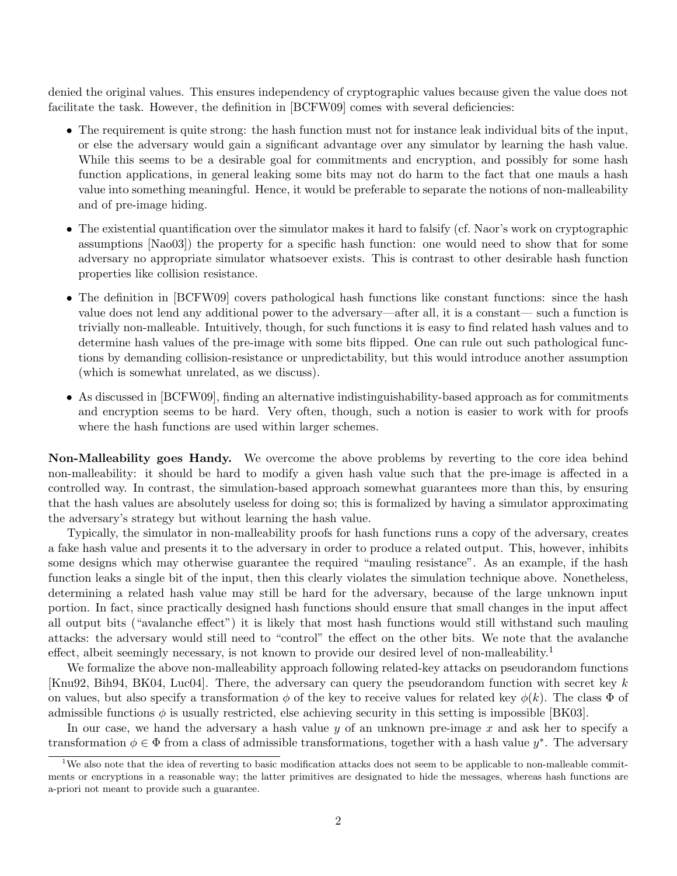denied the original values. This ensures independency of cryptographic values because given the value does not facilitate the task. However, the definition in [BCFW09] comes with several deficiencies:

- The requirement is quite strong: the hash function must not for instance leak individual bits of the input, or else the adversary would gain a significant advantage over any simulator by learning the hash value. While this seems to be a desirable goal for commitments and encryption, and possibly for some hash function applications, in general leaking some bits may not do harm to the fact that one mauls a hash value into something meaningful. Hence, it would be preferable to separate the notions of non-malleability and of pre-image hiding.
- The existential quantification over the simulator makes it hard to falsify (cf. Naor's work on cryptographic assumptions [Nao03]) the property for a specific hash function: one would need to show that for some adversary no appropriate simulator whatsoever exists. This is contrast to other desirable hash function properties like collision resistance.
- The definition in [BCFW09] covers pathological hash functions like constant functions: since the hash value does not lend any additional power to the adversary—after all, it is a constant— such a function is trivially non-malleable. Intuitively, though, for such functions it is easy to find related hash values and to determine hash values of the pre-image with some bits flipped. One can rule out such pathological functions by demanding collision-resistance or unpredictability, but this would introduce another assumption (which is somewhat unrelated, as we discuss).
- As discussed in [BCFW09], finding an alternative indistinguishability-based approach as for commitments and encryption seems to be hard. Very often, though, such a notion is easier to work with for proofs where the hash functions are used within larger schemes.

Non-Malleability goes Handy. We overcome the above problems by reverting to the core idea behind non-malleability: it should be hard to modify a given hash value such that the pre-image is affected in a controlled way. In contrast, the simulation-based approach somewhat guarantees more than this, by ensuring that the hash values are absolutely useless for doing so; this is formalized by having a simulator approximating the adversary's strategy but without learning the hash value.

Typically, the simulator in non-malleability proofs for hash functions runs a copy of the adversary, creates a fake hash value and presents it to the adversary in order to produce a related output. This, however, inhibits some designs which may otherwise guarantee the required "mauling resistance". As an example, if the hash function leaks a single bit of the input, then this clearly violates the simulation technique above. Nonetheless, determining a related hash value may still be hard for the adversary, because of the large unknown input portion. In fact, since practically designed hash functions should ensure that small changes in the input affect all output bits ("avalanche effect") it is likely that most hash functions would still withstand such mauling attacks: the adversary would still need to "control" the effect on the other bits. We note that the avalanche effect, albeit seemingly necessary, is not known to provide our desired level of non-malleability.<sup>1</sup>

We formalize the above non-malleability approach following related-key attacks on pseudorandom functions [Knu92, Bih94, BK04, Luc04]. There, the adversary can query the pseudorandom function with secret key k on values, but also specify a transformation  $\phi$  of the key to receive values for related key  $\phi(k)$ . The class  $\Phi$  of admissible functions  $\phi$  is usually restricted, else achieving security in this setting is impossible [BK03].

In our case, we hand the adversary a hash value  $y$  of an unknown pre-image  $x$  and ask her to specify a transformation  $\phi \in \Phi$  from a class of admissible transformations, together with a hash value  $y^*$ . The adversary

<sup>&</sup>lt;sup>1</sup>We also note that the idea of reverting to basic modification attacks does not seem to be applicable to non-malleable commitments or encryptions in a reasonable way; the latter primitives are designated to hide the messages, whereas hash functions are a-priori not meant to provide such a guarantee.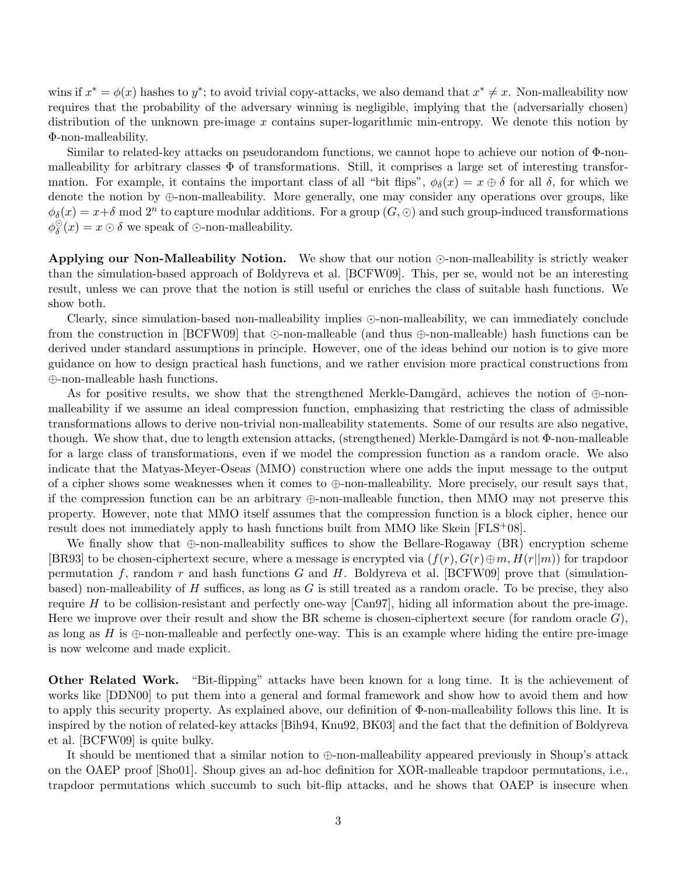wins if  $x^* = \phi(x)$  hashes to  $y^*$ ; to avoid trivial copy-attacks, we also demand that  $x^* \neq x$ . Non-malleability now requires that the probability of the adversary winning is negligible, implying that the (adversarially chosen) distribution of the unknown pre-image x contains super-logarithmic min-entropy. We denote this notion by Φ-non-malleability.

Similar to related-key attacks on pseudorandom functions, we cannot hope to achieve our notion of Φ-nonmalleability for arbitrary classes  $\Phi$  of transformations. Still, it comprises a large set of interesting transformation. For example, it contains the important class of all "bit flips",  $\phi_{\delta}(x) = x \oplus \delta$  for all  $\delta$ , for which we denote the notion by  $\oplus$ -non-malleability. More generally, one may consider any operations over groups, like  $\phi_{\delta}(x) = x + \delta \mod 2^n$  to capture modular additions. For a group  $(G, \odot)$  and such group-induced transformations  $\phi_s^{\odot}$  $\delta(x) = x \odot \delta$  we speak of  $\odot$ -non-malleability.

Applying our Non-Malleability Notion. We show that our notion  $\odot$ -non-malleability is strictly weaker than the simulation-based approach of Boldyreva et al. [BCFW09]. This, per se, would not be an interesting result, unless we can prove that the notion is still useful or enriches the class of suitable hash functions. We show both.

Clearly, since simulation-based non-malleability implies  $\odot$ -non-malleability, we can immediately conclude from the construction in [BCFW09] that  $\odot$ -non-malleable (and thus  $\oplus$ -non-malleable) hash functions can be derived under standard assumptions in principle. However, one of the ideas behind our notion is to give more guidance on how to design practical hash functions, and we rather envision more practical constructions from ⊕-non-malleable hash functions.

As for positive results, we show that the strengthened Merkle-Damgård, achieves the notion of  $\oplus$ -nonmalleability if we assume an ideal compression function, emphasizing that restricting the class of admissible transformations allows to derive non-trivial non-malleability statements. Some of our results are also negative, though. We show that, due to length extension attacks, (strengthened) Merkle-Damgård is not  $\Phi$ -non-malleable for a large class of transformations, even if we model the compression function as a random oracle. We also indicate that the Matyas-Meyer-Oseas (MMO) construction where one adds the input message to the output of a cipher shows some weaknesses when it comes to  $\oplus$ -non-malleability. More precisely, our result says that, if the compression function can be an arbitrary ⊕-non-malleable function, then MMO may not preserve this property. However, note that MMO itself assumes that the compression function is a block cipher, hence our result does not immediately apply to hash functions built from MMO like Skein [FLS+08].

We finally show that ⊕-non-malleability suffices to show the Bellare-Rogaway (BR) encryption scheme [BR93] to be chosen-ciphertext secure, where a message is encrypted via  $(f(r), G(r) \oplus m, H(r||m))$  for trapdoor permutation f, random r and hash functions G and H. Boldyreva et al. [BCFW09] prove that (simulationbased) non-malleability of  $H$  suffices, as long as  $G$  is still treated as a random oracle. To be precise, they also require H to be collision-resistant and perfectly one-way [Can97], hiding all information about the pre-image. Here we improve over their result and show the BR scheme is chosen-ciphertext secure (for random oracle  $G$ ), as long as  $H$  is  $\oplus$ -non-malleable and perfectly one-way. This is an example where hiding the entire pre-image is now welcome and made explicit.

Other Related Work. "Bit-flipping" attacks have been known for a long time. It is the achievement of works like [DDN00] to put them into a general and formal framework and show how to avoid them and how to apply this security property. As explained above, our definition of Φ-non-malleability follows this line. It is inspired by the notion of related-key attacks [Bih94, Knu92, BK03] and the fact that the definition of Boldyreva et al. [BCFW09] is quite bulky.

It should be mentioned that a similar notion to ⊕-non-malleability appeared previously in Shoup's attack on the OAEP proof [Sho01]. Shoup gives an ad-hoc definition for XOR-malleable trapdoor permutations, i.e., trapdoor permutations which succumb to such bit-flip attacks, and he shows that OAEP is insecure when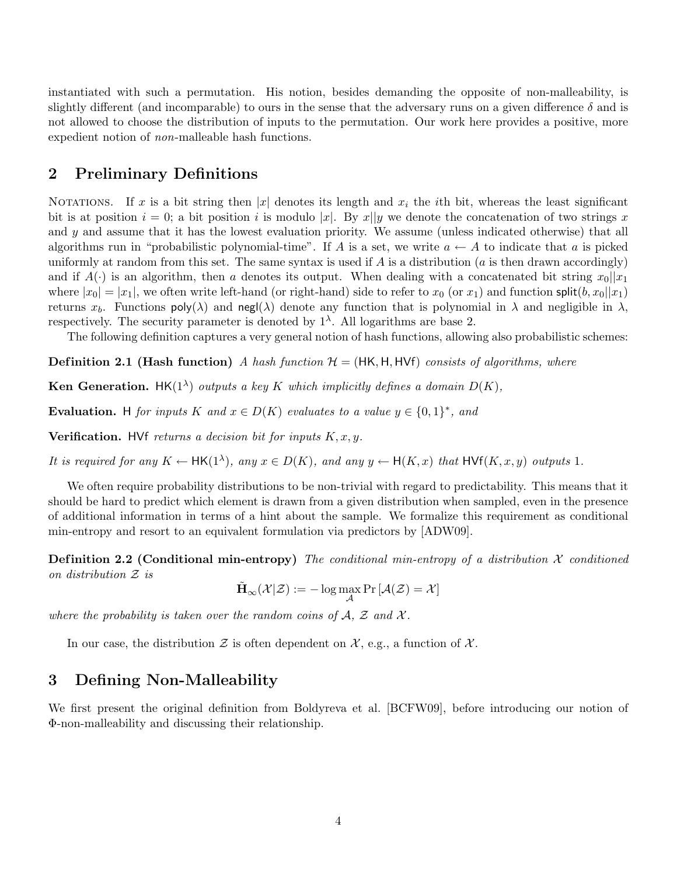instantiated with such a permutation. His notion, besides demanding the opposite of non-malleability, is slightly different (and incomparable) to ours in the sense that the adversary runs on a given difference  $\delta$  and is not allowed to choose the distribution of inputs to the permutation. Our work here provides a positive, more expedient notion of non-malleable hash functions.

# 2 Preliminary Definitions

NOTATIONS. If x is a bit string then |x| denotes its length and  $x_i$  the *i*th bit, whereas the least significant bit is at position  $i = 0$ ; a bit position i is modulo |x|. By x||y we denote the concatenation of two strings x and y and assume that it has the lowest evaluation priority. We assume (unless indicated otherwise) that all algorithms run in "probabilistic polynomial-time". If A is a set, we write  $a \leftarrow A$  to indicate that a is picked uniformly at random from this set. The same syntax is used if  $A$  is a distribution ( $a$  is then drawn accordingly) and if  $A(\cdot)$  is an algorithm, then a denotes its output. When dealing with a concatenated bit string  $x_0||x_1$ where  $|x_0| = |x_1|$ , we often write left-hand (or right-hand) side to refer to  $x_0$  (or  $x_1$ ) and function split $(b, x_0||x_1)$ returns  $x_b$ . Functions poly( $\lambda$ ) and negl( $\lambda$ ) denote any function that is polynomial in  $\lambda$  and negligible in  $\lambda$ , respectively. The security parameter is denoted by  $1^{\lambda}$ . All logarithms are base 2.

The following definition captures a very general notion of hash functions, allowing also probabilistic schemes:

**Definition 2.1 (Hash function)** A hash function  $\mathcal{H} = (HK, H, HVf)$  consists of algorithms, where

**Ken Generation.** HK(1<sup> $\lambda$ </sup>) outputs a key K which implicitly defines a domain  $D(K)$ ,

Evaluation. H for inputs K and  $x \in D(K)$  evaluates to a value  $y \in \{0,1\}^*$ , and

**Verification.** HVf returns a decision bit for inputs  $K, x, y$ .

It is required for any  $K \leftarrow \mathsf{HK}(1^{\lambda})$ , any  $x \in D(K)$ , and any  $y \leftarrow \mathsf{H}(K,x)$  that  $\mathsf{HVf}(K,x,y)$  outputs 1.

We often require probability distributions to be non-trivial with regard to predictability. This means that it should be hard to predict which element is drawn from a given distribution when sampled, even in the presence of additional information in terms of a hint about the sample. We formalize this requirement as conditional min-entropy and resort to an equivalent formulation via predictors by [ADW09].

**Definition 2.2 (Conditional min-entropy)** The conditional min-entropy of a distribution  $\mathcal X$  conditioned on distribution Z is

 $\tilde{\mathbf{H}}_{\infty}(\mathcal{X}|\mathcal{Z}):=-\log\max_{\mathcal{A}}\Pr\left[\mathcal{A}(\mathcal{Z})=\mathcal{X}\right]$ 

where the probability is taken over the random coins of  $A$ ,  $\mathcal Z$  and  $\mathcal X$ .

In our case, the distribution  $\mathcal Z$  is often dependent on  $\mathcal X$ , e.g., a function of  $\mathcal X$ .

# 3 Defining Non-Malleability

We first present the original definition from Boldyreva et al. [BCFW09], before introducing our notion of Φ-non-malleability and discussing their relationship.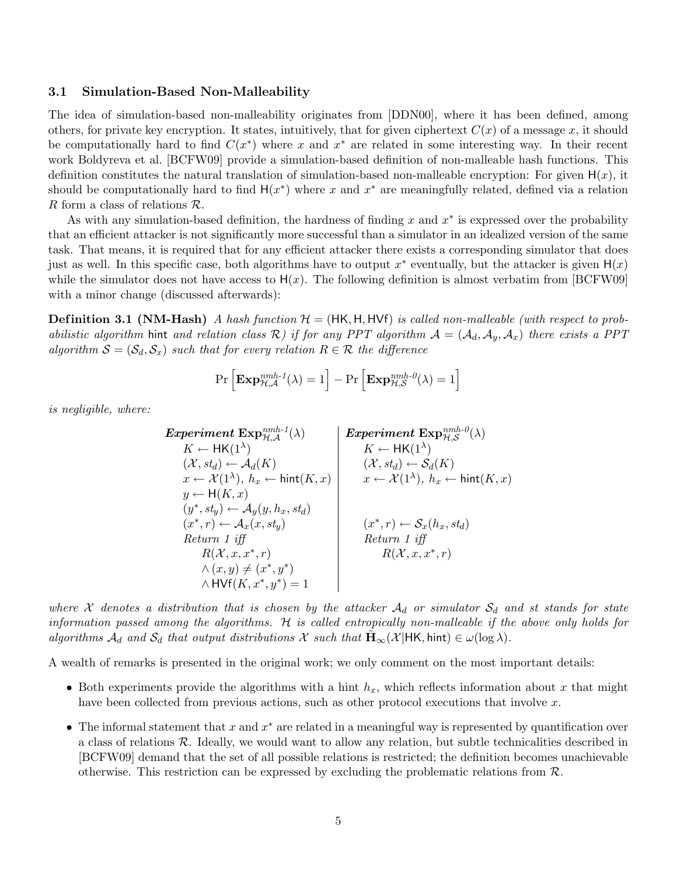#### 3.1 Simulation-Based Non-Malleability

The idea of simulation-based non-malleability originates from [DDN00], where it has been defined, among others, for private key encryption. It states, intuitively, that for given ciphertext  $C(x)$  of a message x, it should be computationally hard to find  $C(x^*)$  where x and  $x^*$  are related in some interesting way. In their recent work Boldyreva et al. [BCFW09] provide a simulation-based definition of non-malleable hash functions. This definition constitutes the natural translation of simulation-based non-malleable encryption: For given  $H(x)$ , it should be computationally hard to find  $H(x^*)$  where x and  $x^*$  are meaningfully related, defined via a relation R form a class of relations  $\mathcal{R}$ .

As with any simulation-based definition, the hardness of finding  $x$  and  $x^*$  is expressed over the probability that an efficient attacker is not significantly more successful than a simulator in an idealized version of the same task. That means, it is required that for any efficient attacker there exists a corresponding simulator that does just as well. In this specific case, both algorithms have to output  $x^*$  eventually, but the attacker is given  $H(x)$ while the simulator does not have access to  $H(x)$ . The following definition is almost verbatim from [BCFW09] with a minor change (discussed afterwards):

**Definition 3.1 (NM-Hash)** A hash function  $\mathcal{H} = (HK, H, HVf)$  is called non-malleable (with respect to probabilistic algorithm hint and relation class R) if for any PPT algorithm  $A = (A_d, A_v, A_x)$  there exists a PPT algorithm  $S = (S_d, S_x)$  such that for every relation  $R \in \mathcal{R}$  the difference

$$
\Pr\left[\mathbf{Exp}_{\mathcal{H},\mathcal{A}}^{nmh-1}(\lambda) = 1\right] - \Pr\left[\mathbf{Exp}_{\mathcal{H},\mathcal{S}}^{nmh-0}(\lambda) = 1\right]
$$

is negligible, where:

 $Experiment\; \text{Exp}_{\mathcal{H}, \mathcal{A}}^{nmh\text{-}1}(\lambda)$  $K \leftarrow \mathsf{HK}(1^\lambda)$  $(\mathcal{X},\mathit{st}_d) \leftarrow \mathcal{A}_d(K)$  $x \leftarrow \mathcal{X}(1^{\lambda}),\ h_x \leftarrow \mathsf{hint}(K,x)$  $y \leftarrow H(K, x)$  $(y^*, st_y) \leftarrow \mathcal{A}_y(y, h_x, st_d)$  $(x^*, r) \leftarrow \mathcal{A}_x(x, st_y)$ Return 1 iff  $R(\mathcal{X}, x, x^*, r)$  $\wedge$   $(x, y) \neq (x^*, y^*)$ ∗  $\wedge$  HVf $(K, x^*, y^*) = 1$  $Experiment\; \text{Exp}_{\mathcal{H}, \mathcal{S}}^{nmh-\theta}(\lambda)$  $K \leftarrow \mathsf{HK}(1^{\lambda})$  $(\mathcal{X}, st_d) \leftarrow \mathcal{S}_d(K)$  $x \leftarrow \mathcal{X}(1^{\lambda}),\ h_x \leftarrow \mathsf{hint}(K,x)$  $(x^*, r) \leftarrow \mathcal{S}_x(h_x, st_d)$ Return 1 iff  $R(\mathcal{X}, x, x^*, r)$ 

where X denotes a distribution that is chosen by the attacker  $A_d$  or simulator  $S_d$  and st stands for state information passed among the algorithms. H is called entropically non-malleable if the above only holds for algorithms  $\mathcal{A}_d$  and  $\mathcal{S}_d$  that output distributions X such that  $\mathbf{H}_{\infty}(\mathcal{X}|\textbf{HK},\text{hint}) \in \omega(\log \lambda)$ .

A wealth of remarks is presented in the original work; we only comment on the most important details:

- Both experiments provide the algorithms with a hint  $h_x$ , which reflects information about x that might have been collected from previous actions, such as other protocol executions that involve x.
- The informal statement that x and  $x^*$  are related in a meaningful way is represented by quantification over a class of relations R. Ideally, we would want to allow any relation, but subtle technicalities described in [BCFW09] demand that the set of all possible relations is restricted; the definition becomes unachievable otherwise. This restriction can be expressed by excluding the problematic relations from R.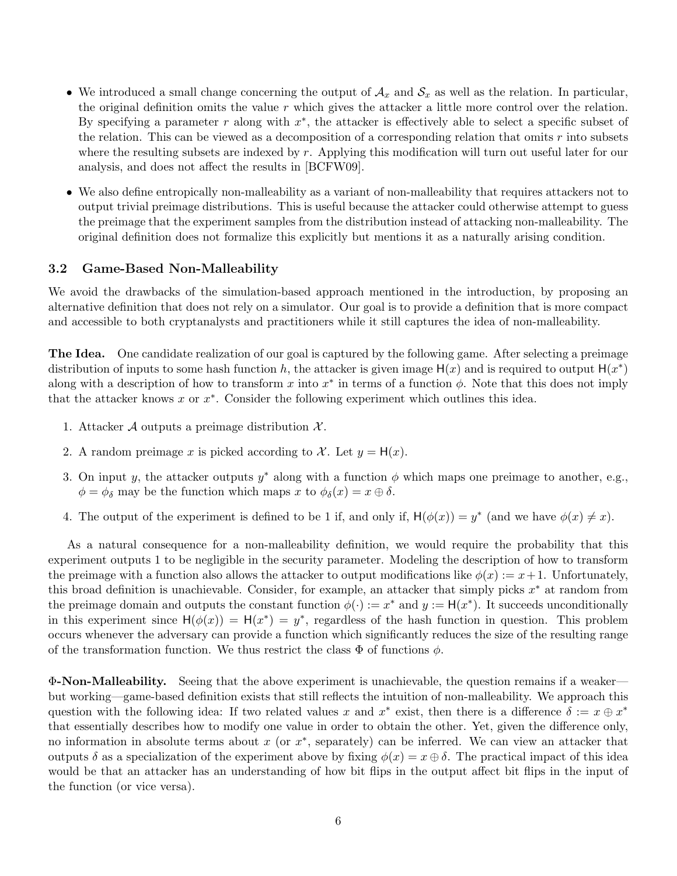- We introduced a small change concerning the output of  $A_x$  and  $S_x$  as well as the relation. In particular, the original definition omits the value  $r$  which gives the attacker a little more control over the relation. By specifying a parameter r along with  $x^*$ , the attacker is effectively able to select a specific subset of the relation. This can be viewed as a decomposition of a corresponding relation that omits  $r$  into subsets where the resulting subsets are indexed by r. Applying this modification will turn out useful later for our analysis, and does not affect the results in [BCFW09].
- We also define entropically non-malleability as a variant of non-malleability that requires attackers not to output trivial preimage distributions. This is useful because the attacker could otherwise attempt to guess the preimage that the experiment samples from the distribution instead of attacking non-malleability. The original definition does not formalize this explicitly but mentions it as a naturally arising condition.

### 3.2 Game-Based Non-Malleability

We avoid the drawbacks of the simulation-based approach mentioned in the introduction, by proposing an alternative definition that does not rely on a simulator. Our goal is to provide a definition that is more compact and accessible to both cryptanalysts and practitioners while it still captures the idea of non-malleability.

The Idea. One candidate realization of our goal is captured by the following game. After selecting a preimage distribution of inputs to some hash function h, the attacker is given image  $H(x)$  and is required to output  $H(x^*)$ along with a description of how to transform x into  $x^*$  in terms of a function  $\phi$ . Note that this does not imply that the attacker knows  $x$  or  $x^*$ . Consider the following experiment which outlines this idea.

- 1. Attacker A outputs a preimage distribution  $\mathcal{X}$ .
- 2. A random preimage x is picked according to X. Let  $y = H(x)$ .
- 3. On input y, the attacker outputs  $y^*$  along with a function  $\phi$  which maps one preimage to another, e.g.,  $\phi = \phi_{\delta}$  may be the function which maps x to  $\phi_{\delta}(x) = x \oplus \delta$ .
- 4. The output of the experiment is defined to be 1 if, and only if,  $H(\phi(x)) = y^*$  (and we have  $\phi(x) \neq x$ ).

As a natural consequence for a non-malleability definition, we would require the probability that this experiment outputs 1 to be negligible in the security parameter. Modeling the description of how to transform the preimage with a function also allows the attacker to output modifications like  $\phi(x) := x + 1$ . Unfortunately, this broad definition is unachievable. Consider, for example, an attacker that simply picks  $x^*$  at random from the preimage domain and outputs the constant function  $\phi(\cdot) := x^*$  and  $y := H(x^*)$ . It succeeds unconditionally in this experiment since  $H(\phi(x)) = H(x^*) = y^*$ , regardless of the hash function in question. This problem occurs whenever the adversary can provide a function which significantly reduces the size of the resulting range of the transformation function. We thus restrict the class  $\Phi$  of functions  $\phi$ .

Φ-Non-Malleability. Seeing that the above experiment is unachievable, the question remains if a weaker but working—game-based definition exists that still reflects the intuition of non-malleability. We approach this question with the following idea: If two related values x and  $x^*$  exist, then there is a difference  $\delta := x \oplus x^*$ that essentially describes how to modify one value in order to obtain the other. Yet, given the difference only, no information in absolute terms about x (or  $x^*$ , separately) can be inferred. We can view an attacker that outputs  $\delta$  as a specialization of the experiment above by fixing  $\phi(x) = x \oplus \delta$ . The practical impact of this idea would be that an attacker has an understanding of how bit flips in the output affect bit flips in the input of the function (or vice versa).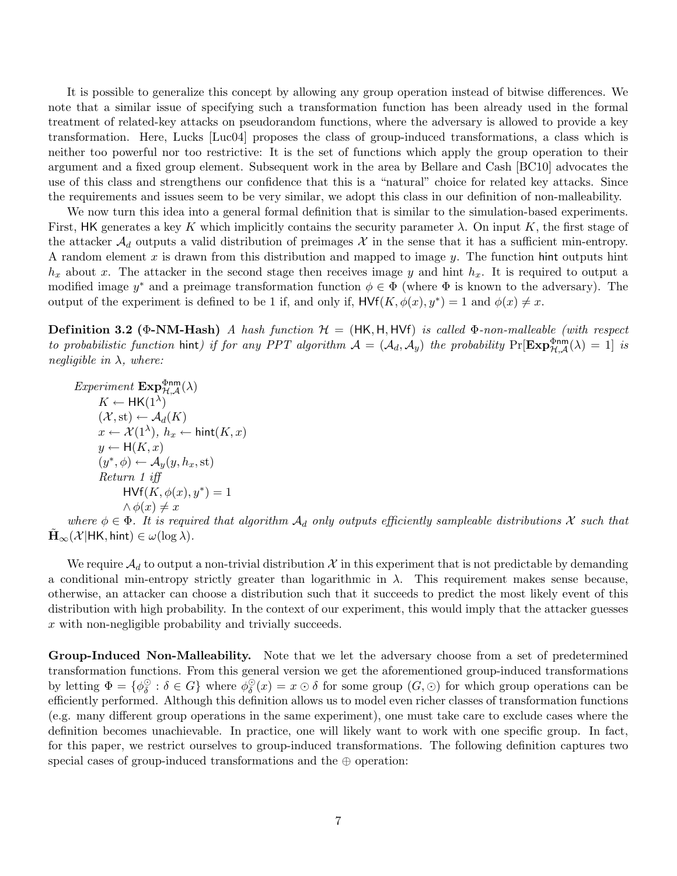It is possible to generalize this concept by allowing any group operation instead of bitwise differences. We note that a similar issue of specifying such a transformation function has been already used in the formal treatment of related-key attacks on pseudorandom functions, where the adversary is allowed to provide a key transformation. Here, Lucks [Luc04] proposes the class of group-induced transformations, a class which is neither too powerful nor too restrictive: It is the set of functions which apply the group operation to their argument and a fixed group element. Subsequent work in the area by Bellare and Cash [BC10] advocates the use of this class and strengthens our confidence that this is a "natural" choice for related key attacks. Since the requirements and issues seem to be very similar, we adopt this class in our definition of non-malleability.

We now turn this idea into a general formal definition that is similar to the simulation-based experiments. First, HK generates a key K which implicitly contains the security parameter  $\lambda$ . On input K, the first stage of the attacker  $\mathcal{A}_d$  outputs a valid distribution of preimages X in the sense that it has a sufficient min-entropy. A random element  $x$  is drawn from this distribution and mapped to image  $y$ . The function hint outputs hint  $h_x$  about x. The attacker in the second stage then receives image y and hint  $h_x$ . It is required to output a modified image  $y^*$  and a preimage transformation function  $\phi \in \Phi$  (where  $\Phi$  is known to the adversary). The output of the experiment is defined to be 1 if, and only if,  $HVf(K, \phi(x), y^*) = 1$  and  $\phi(x) \neq x$ .

Definition 3.2 (Φ-NM-Hash) A hash function  $H = (HK, H, HVf)$  is called Φ-non-malleable (with respect to probabilistic function hint) if for any PPT algorithm  $A = (A_d, A_y)$  the probability  $\Pr[\mathbf{Exp}_{\mathcal{H},\mathcal{A}}^{\Phi \text{nm}}(\lambda) = 1]$  is negligible in  $\lambda$ , where:

$$
Experiment \, \mathbf{Exp}^{\Phi \mathsf{nm}}_{\mathcal{H},\mathcal{A}}(\lambda)
$$
\n
$$
K \leftarrow \mathsf{HK}(1^{\lambda})
$$
\n
$$
(\mathcal{X}, \text{st}) \leftarrow \mathcal{A}_d(K)
$$
\n
$$
x \leftarrow \mathcal{X}(1^{\lambda}), h_x \leftarrow \mathsf{hint}(K, x)
$$
\n
$$
y \leftarrow \mathsf{H}(K, x)
$$
\n
$$
(y^*, \phi) \leftarrow \mathcal{A}_y(y, h_x, \text{st})
$$
\n
$$
Return 1 \, iff
$$
\n
$$
\mathsf{HVf}(K, \phi(x), y^*) = 1
$$
\n
$$
\land \phi(x) \neq x
$$

where  $\phi \in \Phi$ . It is required that algorithm  $\mathcal{A}_d$  only outputs efficiently sampleable distributions X such that  $\mathbf{H}_{\infty}(\mathcal{X}|\text{HK}, \text{hint}) \in \omega(\log \lambda).$ 

We require  $\mathcal{A}_d$  to output a non-trivial distribution X in this experiment that is not predictable by demanding a conditional min-entropy strictly greater than logarithmic in  $\lambda$ . This requirement makes sense because, otherwise, an attacker can choose a distribution such that it succeeds to predict the most likely event of this distribution with high probability. In the context of our experiment, this would imply that the attacker guesses x with non-negligible probability and trivially succeeds.

Group-Induced Non-Malleability. Note that we let the adversary choose from a set of predetermined transformation functions. From this general version we get the aforementioned group-induced transformations by letting  $\Phi = \{ \phi_{\delta}^{\odot} \}$  $\delta_{\delta}$  :  $\delta \in G$ } where  $\phi_{\delta}^{\odot}$  $\mathcal{L}_{\delta}^{\odot}(x) = x \odot \delta$  for some group  $(G, \odot)$  for which group operations can be efficiently performed. Although this definition allows us to model even richer classes of transformation functions (e.g. many different group operations in the same experiment), one must take care to exclude cases where the definition becomes unachievable. In practice, one will likely want to work with one specific group. In fact, for this paper, we restrict ourselves to group-induced transformations. The following definition captures two special cases of group-induced transformations and the ⊕ operation: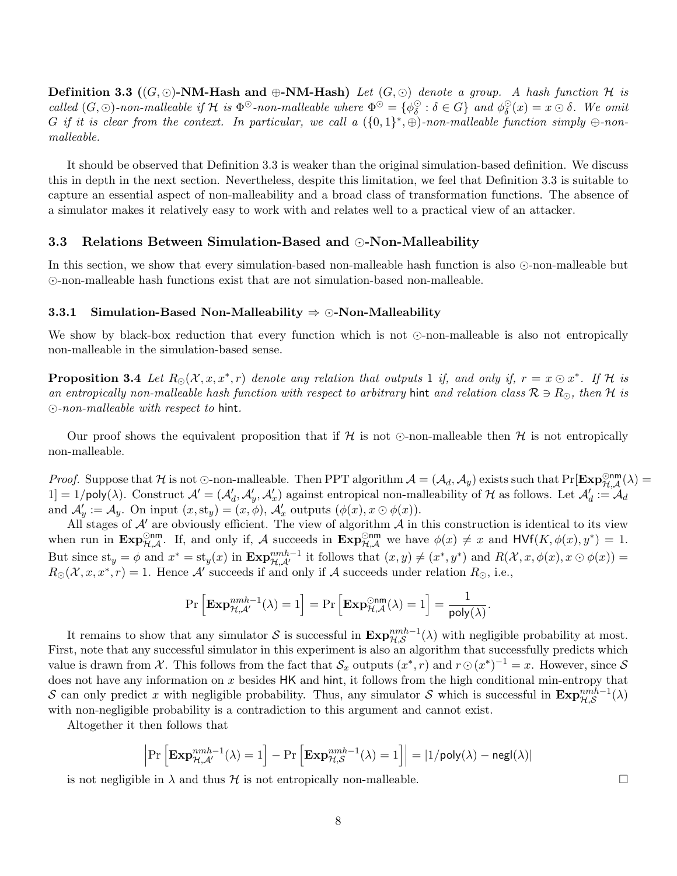**Definition 3.3** ( $(G, \odot)$ -NM-Hash and  $\oplus$ -NM-Hash) Let  $(G, \odot)$  denote a group. A hash function H is called  $(G, \odot)$ -non-malleable if H is  $\Phi^{\odot}$ -non-malleable where  $\Phi^{\odot} = {\phi^{\odot}_s}$  $\delta_{\delta}^{\odot} : \delta \in G$ } and  $\phi_{\delta}^{\odot}$  $\mathcal{E}_{\delta}^{\odot}(x) = x \odot \delta$ . We omit G if it is clear from the context. In particular, we call a  $({0,1}^*, \oplus)$ -non-malleable function simply  $\oplus$ -nonmalleable.

It should be observed that Definition 3.3 is weaker than the original simulation-based definition. We discuss this in depth in the next section. Nevertheless, despite this limitation, we feel that Definition 3.3 is suitable to capture an essential aspect of non-malleability and a broad class of transformation functions. The absence of a simulator makes it relatively easy to work with and relates well to a practical view of an attacker.

#### 3.3 Relations Between Simulation-Based and  $\odot$ -Non-Malleability

In this section, we show that every simulation-based non-malleable hash function is also  $\odot$ -non-malleable but -non-malleable hash functions exist that are not simulation-based non-malleable.

#### 3.3.1 Simulation-Based Non-Malleability  $\Rightarrow$   $\odot$ -Non-Malleability

We show by black-box reduction that every function which is not  $\odot$ -non-malleable is also not entropically non-malleable in the simulation-based sense.

**Proposition 3.4** Let  $R_{\odot}(\mathcal{X}, x, x^*, r)$  denote any relation that outputs 1 if, and only if,  $r = x \odot x^*$ . If H is an entropically non-malleable hash function with respect to arbitrary hint and relation class  $\mathcal{R} \ni R_{\odot}$ , then H is  $\odot$ -non-malleable with respect to hint.

Our proof shows the equivalent proposition that if  $H$  is not  $\odot$ -non-malleable then  $H$  is not entropically non-malleable.

Proof. Suppose that H is not  $\odot$ -non-malleable. Then PPT algorithm  $\mathcal{A} = (\mathcal{A}_d, \mathcal{A}_y)$  exists such that  $\Pr[\mathbf{Exp}_{\mathcal{H},\mathcal{A}}^{\odot \text{nm}}(\lambda) =$  $[1] = 1/\text{poly}(\lambda)$ . Construct  $\mathcal{A}' = (\mathcal{A}'_d, \mathcal{A}'_y, \mathcal{A}'_x)$  against entropical non-malleability of H as follows. Let  $\mathcal{A}'_d := \mathcal{A}_d$ and  $\mathcal{A}'_y := \mathcal{A}_y$ . On input  $(x, st_y) = (x, \phi), \mathcal{A}'_x$  outputs  $(\phi(x), x \odot \phi(x)).$ 

All stages of  $A'$  are obviously efficient. The view of algorithm  $A$  in this construction is identical to its view when run in  $\text{Exp}_{\mathcal{H},\mathcal{A}}^{\text{Onm}}$ . If, and only if, A succeeds in  $\text{Exp}_{\mathcal{H},\mathcal{A}}^{\text{Onm}}$  we have  $\phi(x) \neq x$  and  $\text{HVf}(K,\phi(x),y^*)=1$ . But since  $st_y = \phi$  and  $x^* = st_y(x)$  in  $\mathbf{Exp}_{\mathcal{H},\mathcal{A}'}^{nmh-1}$  it follows that  $(x, y) \neq (x^*, y^*)$  and  $R(\mathcal{X}, x, \phi(x), x \odot \phi(x)) =$  $R_{\odot}(\mathcal{X}, x, x^*, r) = 1$ . Hence A' succeeds if and only if A succeeds under relation  $R_{\odot}$ , i.e.,

$$
\Pr\left[\mathbf{Exp}_{\mathcal{H},\mathcal{A}'}^{nmh-1}(\lambda)=1\right]=\Pr\left[\mathbf{Exp}_{\mathcal{H},\mathcal{A}}^{\odot \mathsf{nm}}(\lambda)=1\right]=\frac{1}{\mathsf{poly}(\lambda)}.
$$

It remains to show that any simulator S is successful in  $\text{Exp}_{\mathcal{H},\mathcal{S}}^{nmh-1}(\lambda)$  with negligible probability at most. First, note that any successful simulator in this experiment is also an algorithm that successfully predicts which value is drawn from X. This follows from the fact that  $\mathcal{S}_x$  outputs  $(x^*, r)$  and  $r \odot (x^*)^{-1} = x$ . However, since S does not have any information on x besides HK and hint, it follows from the high conditional min-entropy that S can only predict x with negligible probability. Thus, any simulator S which is successful in  $\text{Exp}_{\mathcal{H},\mathcal{S}}^{nmh-1}(\lambda)$ with non-negligible probability is a contradiction to this argument and cannot exist.

Altogether it then follows that

$$
\left|\Pr\left[\mathbf{Exp}_{\mathcal{H},\mathcal{A}'}^{nmh-1}(\lambda)=1\right]-\Pr\left[\mathbf{Exp}_{\mathcal{H},\mathcal{S}}^{nmh-1}(\lambda)=1\right]\right|=|1/\mathsf{poly}(\lambda)-\mathsf{negl}(\lambda)|
$$

is not negligible in  $\lambda$  and thus H is not entropically non-malleable.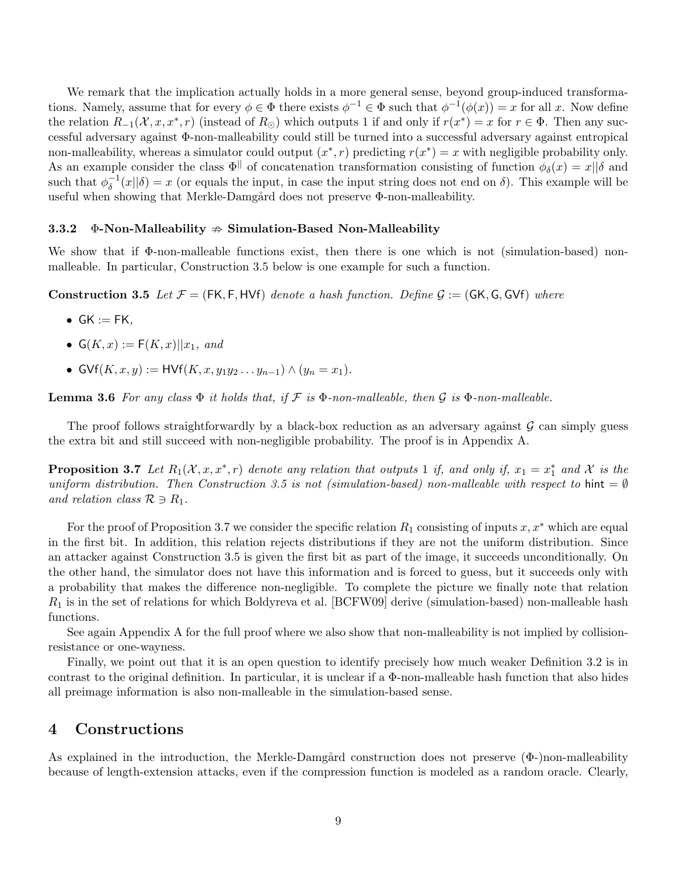We remark that the implication actually holds in a more general sense, beyond group-induced transformations. Namely, assume that for every  $\phi \in \Phi$  there exists  $\phi^{-1} \in \Phi$  such that  $\phi^{-1}(\phi(x)) = x$  for all x. Now define the relation  $R_{-1}(\mathcal{X}, x, x^*, r)$  (instead of  $R_{\odot}$ ) which outputs 1 if and only if  $r(x^*) = x$  for  $r \in \Phi$ . Then any successful adversary against Φ-non-malleability could still be turned into a successful adversary against entropical non-malleability, whereas a simulator could output  $(x^*, r)$  predicting  $r(x^*) = x$  with negligible probability only. As an example consider the class  $\Phi^{\parallel}$  of concatenation transformation consisting of function  $\phi_{\delta}(x) = x||\delta$  and such that  $\phi_{\delta}^{-1}$  $\delta^{-1}(x||\delta) = x$  (or equals the input, in case the input string does not end on  $\delta$ ). This example will be useful when showing that Merkle-Damgård does not preserve  $\Phi$ -non-malleability.

#### 3.3.2  $\Phi$ -Non-Malleability  $\Rightarrow$  Simulation-Based Non-Malleability

We show that if Φ-non-malleable functions exist, then there is one which is not (simulation-based) nonmalleable. In particular, Construction 3.5 below is one example for such a function.

**Construction 3.5** Let  $\mathcal{F} = (FK, F, HVf)$  denote a hash function. Define  $\mathcal{G} := (GK, G, GVf)$  where

- $GK := FK$ ,
- $G(K, x) := F(K, x)||x_1$ , and
- GVf $(K, x, y) := HVf(K, x, y_1y_2 \dots y_{n-1}) \wedge (y_n = x_1).$

**Lemma 3.6** For any class  $\Phi$  it holds that, if  $\mathcal F$  is  $\Phi$ -non-malleable, then  $\mathcal G$  is  $\Phi$ -non-malleable.

The proof follows straightforwardly by a black-box reduction as an adversary against  $\mathcal G$  can simply guess the extra bit and still succeed with non-negligible probability. The proof is in Appendix A.

**Proposition 3.7** Let  $R_1(\mathcal{X}, x, x^*, r)$  denote any relation that outputs 1 if, and only if,  $x_1 = x_1^*$  and X is the uniform distribution. Then Construction 3.5 is not (simulation-based) non-malleable with respect to hint =  $\emptyset$ and relation class  $\mathcal{R} \ni R_1$ .

For the proof of Proposition 3.7 we consider the specific relation  $R_1$  consisting of inputs  $x, x^*$  which are equal in the first bit. In addition, this relation rejects distributions if they are not the uniform distribution. Since an attacker against Construction 3.5 is given the first bit as part of the image, it succeeds unconditionally. On the other hand, the simulator does not have this information and is forced to guess, but it succeeds only with a probability that makes the difference non-negligible. To complete the picture we finally note that relation  $R_1$  is in the set of relations for which Boldyreva et al. [BCFW09] derive (simulation-based) non-malleable hash functions.

See again Appendix A for the full proof where we also show that non-malleability is not implied by collisionresistance or one-wayness.

Finally, we point out that it is an open question to identify precisely how much weaker Definition 3.2 is in contrast to the original definition. In particular, it is unclear if a  $\Phi$ -non-malleable hash function that also hides all preimage information is also non-malleable in the simulation-based sense.

### 4 Constructions

As explained in the introduction, the Merkle-Damgård construction does not preserve  $(\Phi$ -)non-malleability because of length-extension attacks, even if the compression function is modeled as a random oracle. Clearly,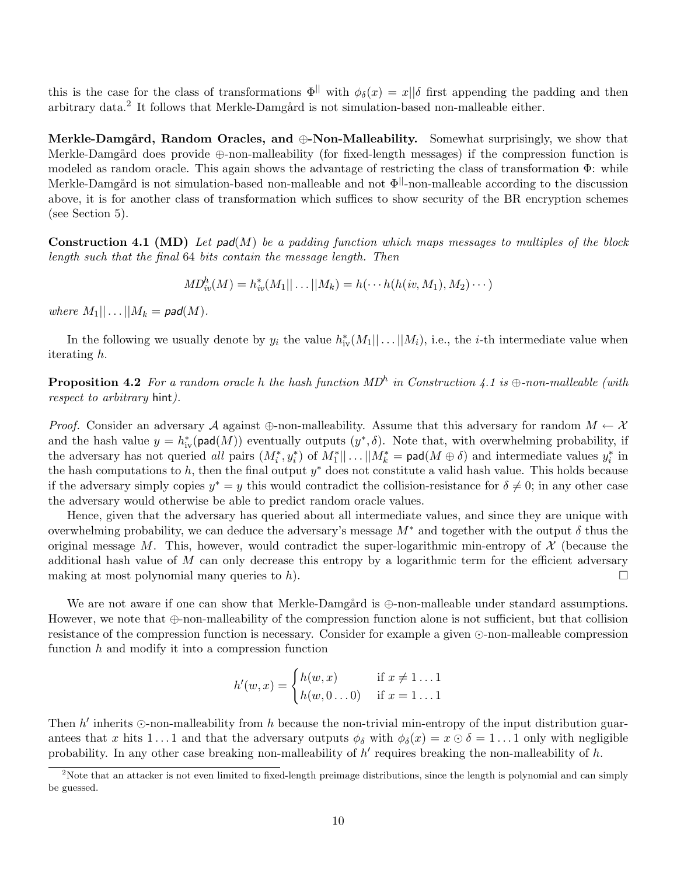this is the case for the class of transformations  $\Phi^{\parallel}$  with  $\phi_{\delta}(x) = x||\delta$  first appending the padding and then arbitrary data.<sup>2</sup> It follows that Merkle-Damgård is not simulation-based non-malleable either.

Merkle-Damgård, Random Oracles, and  $\oplus$ -Non-Malleability. Somewhat surprisingly, we show that Merkle-Damgård does provide  $\oplus$ -non-malleability (for fixed-length messages) if the compression function is modeled as random oracle. This again shows the advantage of restricting the class of transformation Φ: while Merkle-Damgård is not simulation-based non-malleable and not  $\Phi^{\parallel}$ -non-malleable according to the discussion above, it is for another class of transformation which suffices to show security of the BR encryption schemes (see Section 5).

**Construction 4.1 (MD)** Let pad(M) be a padding function which maps messages to multiples of the block length such that the final 64 bits contain the message length. Then

$$
MD_{iv}^{h}(M) = h_{iv}^{*}(M_{1}|| \ldots || M_{k}) = h(\cdots h(h(iv, M_{1}), M_{2}) \cdots)
$$

where  $M_1|| \dots || M_k = \text{pad}(M)$ .

In the following we usually denote by  $y_i$  the value  $h^*_{iv}(M_1 || \dots || M_i)$ , i.e., the *i*-th intermediate value when iterating h.

**Proposition 4.2** For a random oracle h the hash function  $MD<sup>h</sup>$  in Construction 4.1 is  $\oplus$ -non-malleable (with respect to arbitrary hint).

*Proof.* Consider an adversary A against  $\oplus$ -non-malleability. Assume that this adversary for random  $M \leftarrow \mathcal{X}$ and the hash value  $y = h_{iv}^*(\text{pad}(M))$  eventually outputs  $(y^*, \delta)$ . Note that, with overwhelming probability, if the adversary has not queried all pairs  $(M_i^*, y_i^*)$  of  $M_1^*$ ,  $||...||M_k^* = \text{pad}(M \oplus \delta)$  and intermediate values  $y_i^*$  in the hash computations to h, then the final output  $y^*$  does not constitute a valid hash value. This holds because if the adversary simply copies  $y^* = y$  this would contradict the collision-resistance for  $\delta \neq 0$ ; in any other case the adversary would otherwise be able to predict random oracle values.

Hence, given that the adversary has queried about all intermediate values, and since they are unique with overwhelming probability, we can deduce the adversary's message  $M^*$  and together with the output  $\delta$  thus the original message M. This, however, would contradict the super-logarithmic min-entropy of  $\mathcal X$  (because the additional hash value of  $M$  can only decrease this entropy by a logarithmic term for the efficient adversary making at most polynomial many queries to h).  $\Box$ 

We are not aware if one can show that Merkle-Damgård is  $\bigoplus$ -non-malleable under standard assumptions. However, we note that ⊕-non-malleability of the compression function alone is not sufficient, but that collision resistance of the compression function is necessary. Consider for example a given  $\odot$ -non-malleable compression function  $h$  and modify it into a compression function

$$
h'(w, x) = \begin{cases} h(w, x) & \text{if } x \neq 1 \dots 1 \\ h(w, 0 \dots 0) & \text{if } x = 1 \dots 1 \end{cases}
$$

Then  $h'$  inherits  $\odot$ -non-malleability from h because the non-trivial min-entropy of the input distribution guarantees that x hits 1...1 and that the adversary outputs  $\phi_{\delta}$  with  $\phi_{\delta}(x) = x \odot \delta = 1...1$  only with negligible probability. In any other case breaking non-malleability of  $h'$  requires breaking the non-malleability of  $h$ .

 $2$ Note that an attacker is not even limited to fixed-length preimage distributions, since the length is polynomial and can simply be guessed.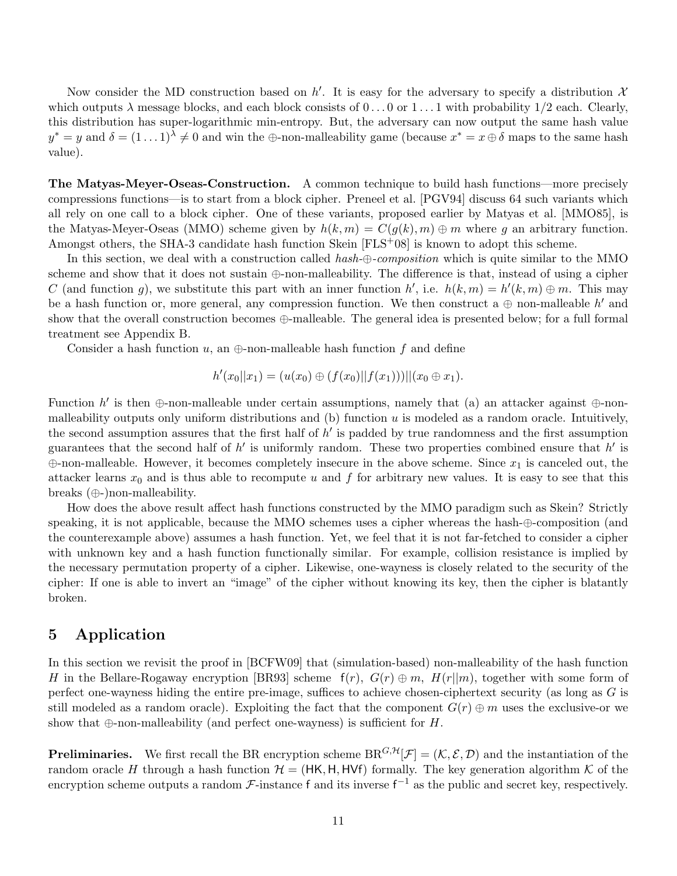Now consider the MD construction based on h'. It is easy for the adversary to specify a distribution  $\mathcal{X}$ which outputs  $\lambda$  message blocks, and each block consists of  $0 \dots 0$  or  $1 \dots 1$  with probability  $1/2$  each. Clearly, this distribution has super-logarithmic min-entropy. But, the adversary can now output the same hash value  $y^* = y$  and  $\delta = (1 \dots 1)^\lambda \neq 0$  and win the  $\bigoplus$ -non-malleability game (because  $x^* = x \oplus \delta$  maps to the same hash value).

The Matyas-Meyer-Oseas-Construction. A common technique to build hash functions—more precisely compressions functions—is to start from a block cipher. Preneel et al. [PGV94] discuss 64 such variants which all rely on one call to a block cipher. One of these variants, proposed earlier by Matyas et al. [MMO85], is the Matyas-Meyer-Oseas (MMO) scheme given by  $h(k, m) = C(g(k), m) \oplus m$  where g an arbitrary function. Amongst others, the SHA-3 candidate hash function Skein  $[FLS+08]$  is known to adopt this scheme.

In this section, we deal with a construction called hash- $\oplus$ -composition which is quite similar to the MMO scheme and show that it does not sustain ⊕-non-malleability. The difference is that, instead of using a cipher C (and function g), we substitute this part with an inner function h', i.e.  $h(k,m) = h'(k,m) \oplus m$ . This may be a hash function or, more general, any compression function. We then construct a  $\oplus$  non-malleable h' and show that the overall construction becomes ⊕-malleable. The general idea is presented below; for a full formal treatment see Appendix B.

Consider a hash function u, an  $\oplus$ -non-malleable hash function f and define

$$
h'(x_0||x_1) = (u(x_0) \oplus (f(x_0)||f(x_1)))||(x_0 \oplus x_1).
$$

Function h' is then  $\oplus$ -non-malleable under certain assumptions, namely that (a) an attacker against  $\oplus$ -nonmalleability outputs only uniform distributions and  $(b)$  function  $u$  is modeled as a random oracle. Intuitively, the second assumption assures that the first half of  $h'$  is padded by true randomness and the first assumption guarantees that the second half of  $h'$  is uniformly random. These two properties combined ensure that  $h'$  is  $\oplus$ -non-malleable. However, it becomes completely insecure in the above scheme. Since  $x_1$  is canceled out, the attacker learns  $x_0$  and is thus able to recompute u and f for arbitrary new values. It is easy to see that this breaks (⊕-)non-malleability.

How does the above result affect hash functions constructed by the MMO paradigm such as Skein? Strictly speaking, it is not applicable, because the MMO schemes uses a cipher whereas the hash-⊕-composition (and the counterexample above) assumes a hash function. Yet, we feel that it is not far-fetched to consider a cipher with unknown key and a hash function functionally similar. For example, collision resistance is implied by the necessary permutation property of a cipher. Likewise, one-wayness is closely related to the security of the cipher: If one is able to invert an "image" of the cipher without knowing its key, then the cipher is blatantly broken.

### 5 Application

In this section we revisit the proof in [BCFW09] that (simulation-based) non-malleability of the hash function H in the Bellare-Rogaway encryption [BR93] scheme  $f(r)$ ,  $G(r) \oplus m$ ,  $H(r||m)$ , together with some form of perfect one-wayness hiding the entire pre-image, suffices to achieve chosen-ciphertext security (as long as G is still modeled as a random oracle). Exploiting the fact that the component  $G(r) \oplus m$  uses the exclusive-or we show that  $\oplus$ -non-malleability (and perfect one-wayness) is sufficient for H.

**Preliminaries.** We first recall the BR encryption scheme  $BR^{G,H}[\mathcal{F}] = (K, \mathcal{E}, \mathcal{D})$  and the instantiation of the random oracle H through a hash function  $\mathcal{H} = (HK, H, HVf)$  formally. The key generation algorithm K of the encryption scheme outputs a random  $\mathcal{F}\text{-instance f}$  and its inverse  $f^{-1}$  as the public and secret key, respectively.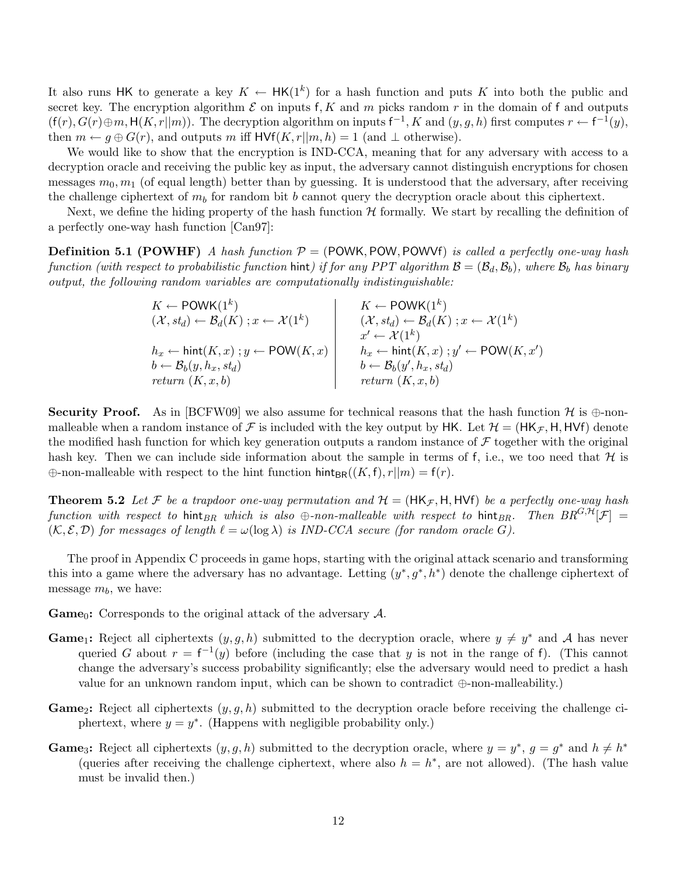It also runs HK to generate a key  $K \leftarrow \mathsf{HK}(1^k)$  for a hash function and puts K into both the public and secret key. The encryption algorithm  $\mathcal E$  on inputs f, K and m picks random r in the domain of f and outputs  $(f(r), G(r) \oplus m, H(K, r||m))$ . The decryption algorithm on inputs  $f^{-1}, K$  and  $(y, g, h)$  first computes  $r \leftarrow f^{-1}(y)$ , then  $m \leftarrow g \oplus G(r)$ , and outputs m iff  $HVf(K, r||m, h) = 1$  (and  $\perp$  otherwise).

We would like to show that the encryption is IND-CCA, meaning that for any adversary with access to a decryption oracle and receiving the public key as input, the adversary cannot distinguish encryptions for chosen messages  $m_0, m_1$  (of equal length) better than by guessing. It is understood that the adversary, after receiving the challenge ciphertext of  $m_b$  for random bit b cannot query the decryption oracle about this ciphertext.

Next, we define the hiding property of the hash function  $H$  formally. We start by recalling the definition of a perfectly one-way hash function [Can97]:

**Definition 5.1 (POWHF)** A hash function  $P = (POWK, POW, POWVf)$  is called a perfectly one-way hash function (with respect to probabilistic function hint) if for any PPT algorithm  $\mathcal{B} = (\mathcal{B}_d, \mathcal{B}_b)$ , where  $\mathcal{B}_b$  has binary output, the following random variables are computationally indistinguishable:

$$
K \leftarrow \text{POWK}(1^k)
$$
\n
$$
(\mathcal{X}, st_d) \leftarrow \mathcal{B}_d(K); x \leftarrow \mathcal{X}(1^k)
$$
\n
$$
h_x \leftarrow \text{hint}(K, x); y \leftarrow \text{POW}(K, x)
$$
\n
$$
b \leftarrow \mathcal{B}_b(y, h_x, st_d)
$$
\n
$$
return (K, x, b)
$$
\n
$$
K \leftarrow \text{POWK}(1^k)
$$
\n
$$
(\mathcal{X}, st_d) \leftarrow \mathcal{B}_d(K); x \leftarrow \mathcal{X}(1^k)
$$
\n
$$
x' \leftarrow \mathcal{X}(1^k)
$$
\n
$$
h_x \leftarrow \text{hint}(K, x); y' \leftarrow \text{POW}(K, x')
$$
\n
$$
b \leftarrow \mathcal{B}_b(y', h_x, st_d)
$$
\n
$$
return (K, x, b)
$$

**Security Proof.** As in [BCFW09] we also assume for technical reasons that the hash function  $\mathcal{H}$  is  $\oplus$ -nonmalleable when a random instance of F is included with the key output by HK. Let  $\mathcal{H} = (HK_{\mathcal{F}}, H, HVf)$  denote the modified hash function for which key generation outputs a random instance of  $\mathcal F$  together with the original hash key. Then we can include side information about the sample in terms of f, i.e., we too need that  $\mathcal H$  is  $\oplus$ -non-malleable with respect to the hint function hint<sub>BR</sub>( $(K, f), r||m) = f(r)$ .

**Theorem 5.2** Let F be a trapdoor one-way permutation and  $\mathcal{H} = (HK_{\mathcal{F}}, H, HVf)$  be a perfectly one-way hash function with respect to hint<sub>BR</sub> which is also  $\oplus$ -non-malleable with respect to hint<sub>BR</sub>. Then  $BR^{G,H}[\mathcal{F}] =$  $(\mathcal{K}, \mathcal{E}, \mathcal{D})$  for messages of length  $\ell = \omega(\log \lambda)$  is IND-CCA secure (for random oracle G).

The proof in Appendix C proceeds in game hops, starting with the original attack scenario and transforming this into a game where the adversary has no advantage. Letting  $(y^*, g^*, h^*)$  denote the challenge ciphertext of message  $m_b$ , we have:

**Game**<sub>0</sub>: Corresponds to the original attack of the adversary  $A$ .

- **Game**<sub>1</sub>: Reject all ciphertexts  $(y, g, h)$  submitted to the decryption oracle, where  $y \neq y^*$  and A has never queried G about  $r = f^{-1}(y)$  before (including the case that y is not in the range of f). (This cannot change the adversary's success probability significantly; else the adversary would need to predict a hash value for an unknown random input, which can be shown to contradict ⊕-non-malleability.)
- **Game**<sub>2</sub>: Reject all ciphertexts  $(y, q, h)$  submitted to the decryption oracle before receiving the challenge ciphertext, where  $y = y^*$ . (Happens with negligible probability only.)
- **Game**<sub>3</sub>: Reject all ciphertexts  $(y, g, h)$  submitted to the decryption oracle, where  $y = y^*$ ,  $g = g^*$  and  $h \neq h^*$ (queries after receiving the challenge ciphertext, where also  $h = h^*$ , are not allowed). (The hash value must be invalid then.)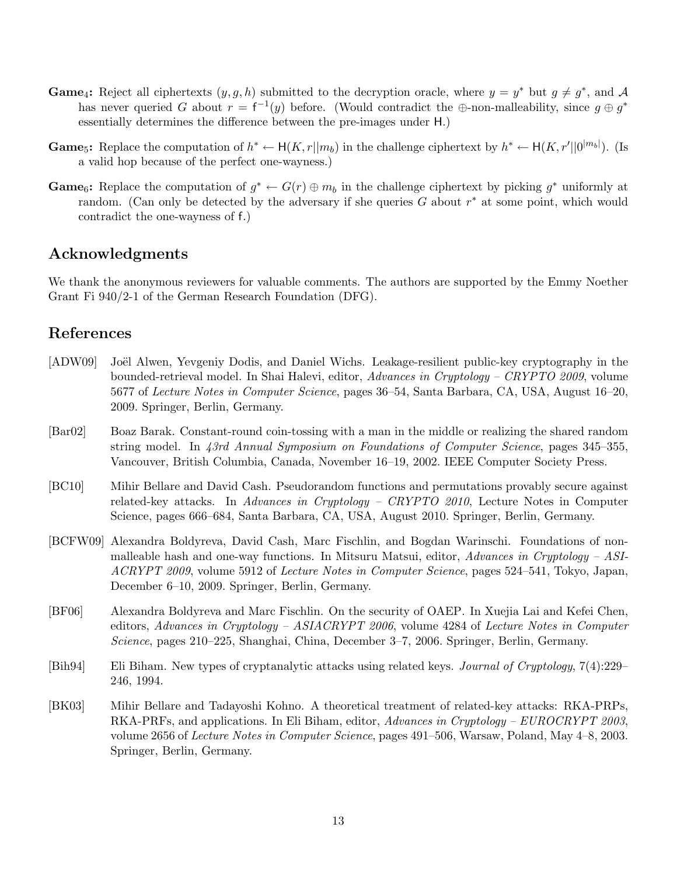- **Game**<sub>4</sub>: Reject all ciphertexts  $(y, g, h)$  submitted to the decryption oracle, where  $y = y^*$  but  $g \neq g^*$ , and A has never queried G about  $r = f^{-1}(y)$  before. (Would contradict the  $\oplus$ -non-malleability, since  $g \oplus g^*$ essentially determines the difference between the pre-images under H.)
- **Game**<sub>5</sub>: Replace the computation of  $h^* \leftarrow H(K, r||m_b)$  in the challenge ciphertext by  $h^* \leftarrow H(K, r'||0^{|m_b|})$ . (Is a valid hop because of the perfect one-wayness.)
- **Game**<sub>6</sub>: Replace the computation of  $g^* \leftarrow G(r) \oplus m_b$  in the challenge ciphertext by picking  $g^*$  uniformly at random. (Can only be detected by the adversary if she queries  $G$  about  $r^*$  at some point, which would contradict the one-wayness of f.)

# Acknowledgments

We thank the anonymous reviewers for valuable comments. The authors are supported by the Emmy Noether Grant Fi 940/2-1 of the German Research Foundation (DFG).

# References

- [ADW09] Joël Alwen, Yevgeniy Dodis, and Daniel Wichs. Leakage-resilient public-key cryptography in the bounded-retrieval model. In Shai Halevi, editor, Advances in Cryptology – CRYPTO 2009, volume 5677 of Lecture Notes in Computer Science, pages 36–54, Santa Barbara, CA, USA, August 16–20, 2009. Springer, Berlin, Germany.
- [Bar02] Boaz Barak. Constant-round coin-tossing with a man in the middle or realizing the shared random string model. In 43rd Annual Symposium on Foundations of Computer Science, pages 345–355, Vancouver, British Columbia, Canada, November 16–19, 2002. IEEE Computer Society Press.
- [BC10] Mihir Bellare and David Cash. Pseudorandom functions and permutations provably secure against related-key attacks. In Advances in Cryptology – CRYPTO 2010, Lecture Notes in Computer Science, pages 666–684, Santa Barbara, CA, USA, August 2010. Springer, Berlin, Germany.
- [BCFW09] Alexandra Boldyreva, David Cash, Marc Fischlin, and Bogdan Warinschi. Foundations of nonmalleable hash and one-way functions. In Mitsuru Matsui, editor, Advances in Cryptology – ASI-ACRYPT 2009, volume 5912 of Lecture Notes in Computer Science, pages 524–541, Tokyo, Japan, December 6–10, 2009. Springer, Berlin, Germany.
- [BF06] Alexandra Boldyreva and Marc Fischlin. On the security of OAEP. In Xuejia Lai and Kefei Chen, editors, Advances in Cryptology – ASIACRYPT 2006, volume 4284 of Lecture Notes in Computer Science, pages 210–225, Shanghai, China, December 3–7, 2006. Springer, Berlin, Germany.
- [Bih94] Eli Biham. New types of cryptanalytic attacks using related keys. Journal of Cryptology, 7(4):229– 246, 1994.
- [BK03] Mihir Bellare and Tadayoshi Kohno. A theoretical treatment of related-key attacks: RKA-PRPs, RKA-PRFs, and applications. In Eli Biham, editor, Advances in Cryptology – EUROCRYPT 2003, volume 2656 of Lecture Notes in Computer Science, pages 491–506, Warsaw, Poland, May 4–8, 2003. Springer, Berlin, Germany.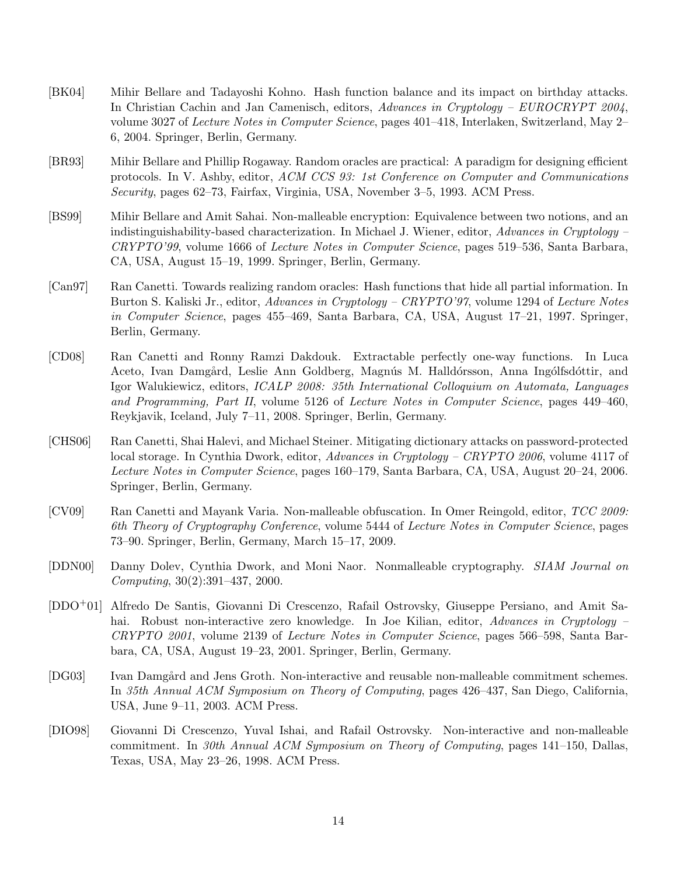- [BK04] Mihir Bellare and Tadayoshi Kohno. Hash function balance and its impact on birthday attacks. In Christian Cachin and Jan Camenisch, editors, Advances in Cryptology – EUROCRYPT 2004, volume 3027 of Lecture Notes in Computer Science, pages 401–418, Interlaken, Switzerland, May 2– 6, 2004. Springer, Berlin, Germany.
- [BR93] Mihir Bellare and Phillip Rogaway. Random oracles are practical: A paradigm for designing efficient protocols. In V. Ashby, editor, ACM CCS 93: 1st Conference on Computer and Communications Security, pages 62–73, Fairfax, Virginia, USA, November 3–5, 1993. ACM Press.
- [BS99] Mihir Bellare and Amit Sahai. Non-malleable encryption: Equivalence between two notions, and an indistinguishability-based characterization. In Michael J. Wiener, editor, Advances in Cryptology – CRYPTO'99, volume 1666 of Lecture Notes in Computer Science, pages 519–536, Santa Barbara, CA, USA, August 15–19, 1999. Springer, Berlin, Germany.
- [Can97] Ran Canetti. Towards realizing random oracles: Hash functions that hide all partial information. In Burton S. Kaliski Jr., editor, Advances in Cryptology – CRYPTO'97, volume 1294 of Lecture Notes in Computer Science, pages 455–469, Santa Barbara, CA, USA, August 17–21, 1997. Springer, Berlin, Germany.
- [CD08] Ran Canetti and Ronny Ramzi Dakdouk. Extractable perfectly one-way functions. In Luca Aceto, Ivan Damgård, Leslie Ann Goldberg, Magnús M. Halldórsson, Anna Ingólfsdóttir, and Igor Walukiewicz, editors, ICALP 2008: 35th International Colloquium on Automata, Languages and Programming, Part II, volume 5126 of Lecture Notes in Computer Science, pages 449–460, Reykjavik, Iceland, July 7–11, 2008. Springer, Berlin, Germany.
- [CHS06] Ran Canetti, Shai Halevi, and Michael Steiner. Mitigating dictionary attacks on password-protected local storage. In Cynthia Dwork, editor, Advances in Cryptology – CRYPTO 2006, volume 4117 of Lecture Notes in Computer Science, pages 160–179, Santa Barbara, CA, USA, August 20–24, 2006. Springer, Berlin, Germany.
- [CV09] Ran Canetti and Mayank Varia. Non-malleable obfuscation. In Omer Reingold, editor, TCC 2009: 6th Theory of Cryptography Conference, volume 5444 of Lecture Notes in Computer Science, pages 73–90. Springer, Berlin, Germany, March 15–17, 2009.
- [DDN00] Danny Dolev, Cynthia Dwork, and Moni Naor. Nonmalleable cryptography. SIAM Journal on Computing, 30(2):391–437, 2000.
- [DDO+01] Alfredo De Santis, Giovanni Di Crescenzo, Rafail Ostrovsky, Giuseppe Persiano, and Amit Sahai. Robust non-interactive zero knowledge. In Joe Kilian, editor, Advances in Cryptology – CRYPTO 2001, volume 2139 of Lecture Notes in Computer Science, pages 566–598, Santa Barbara, CA, USA, August 19–23, 2001. Springer, Berlin, Germany.
- [DG03] Ivan Damgård and Jens Groth. Non-interactive and reusable non-malleable commitment schemes. In 35th Annual ACM Symposium on Theory of Computing, pages 426–437, San Diego, California, USA, June 9–11, 2003. ACM Press.
- [DIO98] Giovanni Di Crescenzo, Yuval Ishai, and Rafail Ostrovsky. Non-interactive and non-malleable commitment. In 30th Annual ACM Symposium on Theory of Computing, pages 141–150, Dallas, Texas, USA, May 23–26, 1998. ACM Press.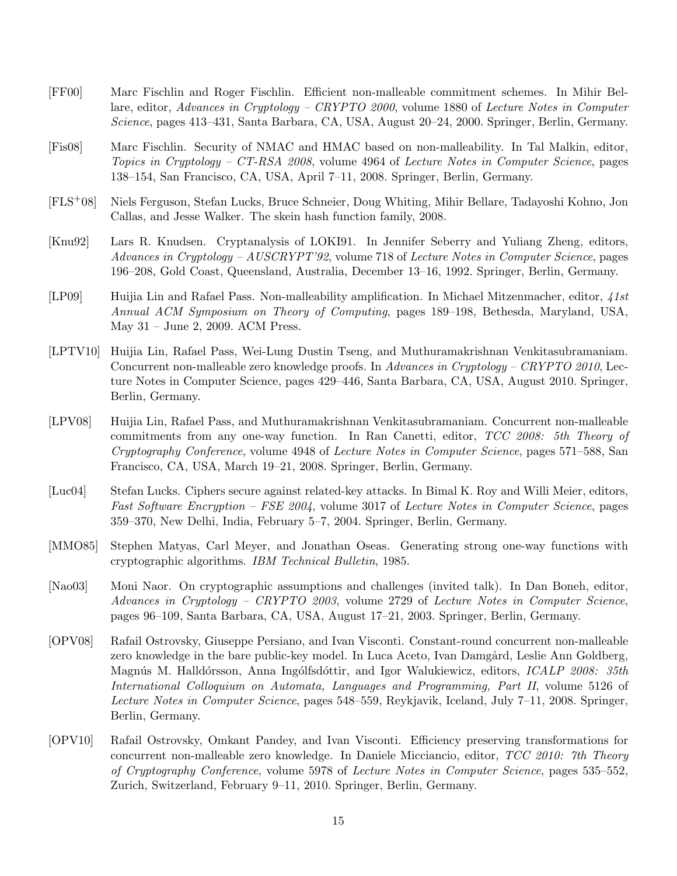- [FF00] Marc Fischlin and Roger Fischlin. Efficient non-malleable commitment schemes. In Mihir Bellare, editor, Advances in Cryptology – CRYPTO 2000, volume 1880 of Lecture Notes in Computer Science, pages 413–431, Santa Barbara, CA, USA, August 20–24, 2000. Springer, Berlin, Germany.
- [Fis08] Marc Fischlin. Security of NMAC and HMAC based on non-malleability. In Tal Malkin, editor, Topics in Cryptology – CT-RSA 2008, volume 4964 of Lecture Notes in Computer Science, pages 138–154, San Francisco, CA, USA, April 7–11, 2008. Springer, Berlin, Germany.
- [FLS+08] Niels Ferguson, Stefan Lucks, Bruce Schneier, Doug Whiting, Mihir Bellare, Tadayoshi Kohno, Jon Callas, and Jesse Walker. The skein hash function family, 2008.
- [Knu92] Lars R. Knudsen. Cryptanalysis of LOKI91. In Jennifer Seberry and Yuliang Zheng, editors, Advances in Cryptology – AUSCRYPT'92, volume 718 of Lecture Notes in Computer Science, pages 196–208, Gold Coast, Queensland, Australia, December 13–16, 1992. Springer, Berlin, Germany.
- [LP09] Huijia Lin and Rafael Pass. Non-malleability amplification. In Michael Mitzenmacher, editor, 41st Annual ACM Symposium on Theory of Computing, pages 189–198, Bethesda, Maryland, USA, May 31 – June 2, 2009. ACM Press.
- [LPTV10] Huijia Lin, Rafael Pass, Wei-Lung Dustin Tseng, and Muthuramakrishnan Venkitasubramaniam. Concurrent non-malleable zero knowledge proofs. In Advances in Cryptology – CRYPTO 2010, Lecture Notes in Computer Science, pages 429–446, Santa Barbara, CA, USA, August 2010. Springer, Berlin, Germany.
- [LPV08] Huijia Lin, Rafael Pass, and Muthuramakrishnan Venkitasubramaniam. Concurrent non-malleable commitments from any one-way function. In Ran Canetti, editor, TCC 2008: 5th Theory of Cryptography Conference, volume 4948 of Lecture Notes in Computer Science, pages 571–588, San Francisco, CA, USA, March 19–21, 2008. Springer, Berlin, Germany.
- [Luc04] Stefan Lucks. Ciphers secure against related-key attacks. In Bimal K. Roy and Willi Meier, editors, Fast Software Encryption – FSE 2004, volume 3017 of Lecture Notes in Computer Science, pages 359–370, New Delhi, India, February 5–7, 2004. Springer, Berlin, Germany.
- [MMO85] Stephen Matyas, Carl Meyer, and Jonathan Oseas. Generating strong one-way functions with cryptographic algorithms. IBM Technical Bulletin, 1985.
- [Nao03] Moni Naor. On cryptographic assumptions and challenges (invited talk). In Dan Boneh, editor, Advances in Cryptology – CRYPTO 2003, volume 2729 of Lecture Notes in Computer Science, pages 96–109, Santa Barbara, CA, USA, August 17–21, 2003. Springer, Berlin, Germany.
- [OPV08] Rafail Ostrovsky, Giuseppe Persiano, and Ivan Visconti. Constant-round concurrent non-malleable zero knowledge in the bare public-key model. In Luca Aceto, Ivan Damgård, Leslie Ann Goldberg, Magnús M. Halldórsson, Anna Ingólfsdóttir, and Igor Walukiewicz, editors, *ICALP 2008: 35th* International Colloquium on Automata, Languages and Programming, Part II, volume 5126 of Lecture Notes in Computer Science, pages 548–559, Reykjavik, Iceland, July 7–11, 2008. Springer, Berlin, Germany.
- [OPV10] Rafail Ostrovsky, Omkant Pandey, and Ivan Visconti. Efficiency preserving transformations for concurrent non-malleable zero knowledge. In Daniele Micciancio, editor, TCC 2010: 7th Theory of Cryptography Conference, volume 5978 of Lecture Notes in Computer Science, pages 535–552, Zurich, Switzerland, February 9–11, 2010. Springer, Berlin, Germany.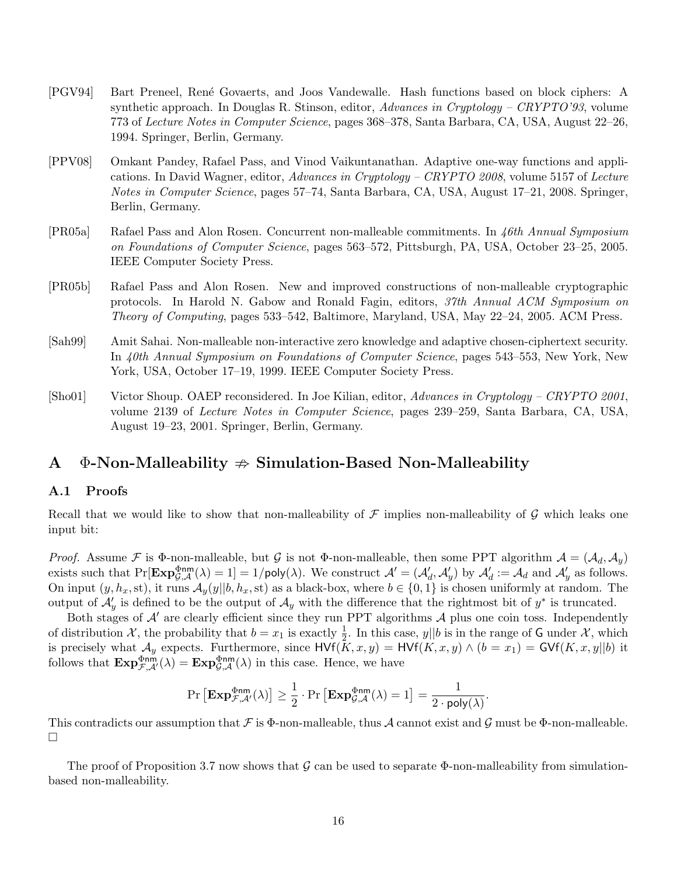- [PGV94] Bart Preneel, Ren´e Govaerts, and Joos Vandewalle. Hash functions based on block ciphers: A synthetic approach. In Douglas R. Stinson, editor, Advances in Cryptology – CRYPTO'93, volume 773 of Lecture Notes in Computer Science, pages 368–378, Santa Barbara, CA, USA, August 22–26, 1994. Springer, Berlin, Germany.
- [PPV08] Omkant Pandey, Rafael Pass, and Vinod Vaikuntanathan. Adaptive one-way functions and applications. In David Wagner, editor, Advances in Cryptology – CRYPTO 2008, volume 5157 of Lecture Notes in Computer Science, pages 57–74, Santa Barbara, CA, USA, August 17–21, 2008. Springer, Berlin, Germany.
- [PR05a] Rafael Pass and Alon Rosen. Concurrent non-malleable commitments. In 46th Annual Symposium on Foundations of Computer Science, pages 563–572, Pittsburgh, PA, USA, October 23–25, 2005. IEEE Computer Society Press.
- [PR05b] Rafael Pass and Alon Rosen. New and improved constructions of non-malleable cryptographic protocols. In Harold N. Gabow and Ronald Fagin, editors, 37th Annual ACM Symposium on Theory of Computing, pages 533–542, Baltimore, Maryland, USA, May 22–24, 2005. ACM Press.
- [Sah99] Amit Sahai. Non-malleable non-interactive zero knowledge and adaptive chosen-ciphertext security. In 40th Annual Symposium on Foundations of Computer Science, pages 543–553, New York, New York, USA, October 17–19, 1999. IEEE Computer Society Press.
- [Sho01] Victor Shoup. OAEP reconsidered. In Joe Kilian, editor, Advances in Cryptology CRYPTO 2001, volume 2139 of Lecture Notes in Computer Science, pages 239–259, Santa Barbara, CA, USA, August 19–23, 2001. Springer, Berlin, Germany.

### A  $\Phi$ -Non-Malleability  $\Rightarrow$  Simulation-Based Non-Malleability

#### A.1 Proofs

Recall that we would like to show that non-malleability of  $\mathcal F$  implies non-malleability of  $\mathcal G$  which leaks one input bit:

*Proof.* Assume F is  $\Phi$ -non-malleable, but G is not  $\Phi$ -non-malleable, then some PPT algorithm  $A = (A_d, A_y)$ exists such that  $\Pr[\mathbf{Exp}_{\mathcal{G},\mathcal{A}}^{\Phi \mathsf{nm}}(\lambda) = 1] = 1/\mathsf{poly}(\lambda)$ . We construct  $\mathcal{A}' = (\mathcal{A}'_d, \mathcal{A}'_y)$  by  $\mathcal{A}'_d := \mathcal{A}_d$  and  $\mathcal{A}'_y$  as follows. On input  $(y, h_x, st)$ , it runs  $\mathcal{A}_y(y||b, h_x, st)$  as a black-box, where  $b \in \{0, 1\}$  is chosen uniformly at random. The output of  $\mathcal{A}'_y$  is defined to be the output of  $\mathcal{A}_y$  with the difference that the rightmost bit of  $y^*$  is truncated.

Both stages of  $\mathcal{A}'$  are clearly efficient since they run PPT algorithms  $\mathcal{A}$  plus one coin toss. Independently of distribution X, the probability that  $b = x_1$  is exactly  $\frac{1}{2}$ . In this case,  $y||b$  is in the range of G under X, which is precisely what  $\mathcal{A}_y$  expects. Furthermore, since  $HVf(K, x, y) = HVf(K, x, y) \wedge (b = x_1) = GVf(K, x, y||b)$  it follows that  $\text{Exp}_{\mathcal{F},\mathcal{A}}^{\Phi \text{nm}}(\lambda) = \text{Exp}_{\mathcal{G},\mathcal{A}}^{\Phi \text{nm}}(\lambda)$  in this case. Hence, we have

$$
\Pr\left[\mathbf{Exp}^{\Phi \mathsf{nm}}_{\mathcal{F},\mathcal{A}'}(\lambda)\right] \geq \frac{1}{2} \cdot \Pr\left[\mathbf{Exp}^{\Phi \mathsf{nm}}_{\mathcal{G},\mathcal{A}}(\lambda) = 1\right] = \frac{1}{2 \cdot \mathsf{poly}(\lambda)}.
$$

This contradicts our assumption that  $\mathcal F$  is  $\Phi$ -non-malleable, thus  $\mathcal A$  cannot exist and  $\mathcal G$  must be  $\Phi$ -non-malleable.  $\Box$ 

The proof of Proposition 3.7 now shows that  $\mathcal G$  can be used to separate  $\Phi$ -non-malleability from simulationbased non-malleability.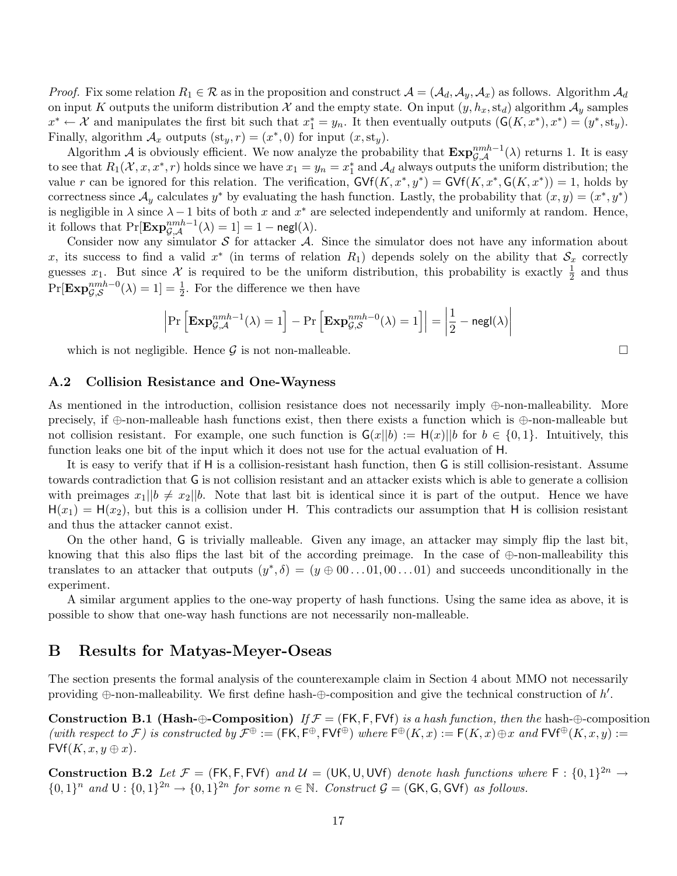*Proof.* Fix some relation  $R_1 \in \mathcal{R}$  as in the proposition and construct  $\mathcal{A} = (\mathcal{A}_d, \mathcal{A}_y, \mathcal{A}_x)$  as follows. Algorithm  $\mathcal{A}_d$ on input K outputs the uniform distribution X and the empty state. On input  $(y, h_x, st_d)$  algorithm  $\mathcal{A}_y$  samples  $x^* \leftarrow \mathcal{X}$  and manipulates the first bit such that  $x_1^* = y_n$ . It then eventually outputs  $(\mathsf{G}(K, x^*), x^*) = (y^*, s(y), y)$ . Finally, algorithm  $\mathcal{A}_x$  outputs  $(st_y, r) = (x^*, 0)$  for input  $(x, st_y)$ .

Algorithm A is obviously efficient. We now analyze the probability that  $\mathbf{Exp}_{\mathcal{G},\mathcal{A}}^{nmh-1}(\lambda)$  returns 1. It is easy to see that  $R_1(\mathcal{X}, x, x^*, r)$  holds since we have  $x_1 = y_n = x_1^*$  and  $\mathcal{A}_d$  always outputs the uniform distribution; the value r can be ignored for this relation. The verification,  $\mathsf{GVf}(K, x^*, y^*) = \mathsf{GVf}(K, x^*, \mathsf{G}(K, x^*)) = 1$ , holds by correctness since  $\mathcal{A}_y$  calculates  $y^*$  by evaluating the hash function. Lastly, the probability that  $(x, y) = (x^*, y^*)$ is negligible in  $\lambda$  since  $\lambda - 1$  bits of both x and  $x^*$  are selected independently and uniformly at random. Hence, it follows that  $\Pr[\mathbf{Exp}_{\mathcal{G}, \mathcal{A}}^{nmh-1}(\lambda) = 1] = 1 - \mathsf{negl}(\lambda).$ 

Consider now any simulator  $S$  for attacker  $A$ . Since the simulator does not have any information about x, its success to find a valid  $x^*$  (in terms of relation  $R_1$ ) depends solely on the ability that  $\mathcal{S}_x$  correctly guesses  $x_1$ . But since X is required to be the uniform distribution, this probability is exactly  $\frac{1}{2}$  and thus  $Pr[\mathbf{Exp}_{\mathcal{G},\mathcal{S}}^{nmh-0}(\lambda)=1]=\frac{1}{2}$ . For the difference we then have

$$
\left| \Pr \left[ \mathbf{Exp}_{\mathcal{G},\mathcal{A}}^{nmh-1}(\lambda) = 1 \right] - \Pr \left[ \mathbf{Exp}_{\mathcal{G},\mathcal{S}}^{nmh-0}(\lambda) = 1 \right] \right| = \left| \frac{1}{2} - \mathsf{negl}(\lambda) \right|
$$

which is not negligible. Hence  $\mathcal G$  is not non-malleable.

#### A.2 Collision Resistance and One-Wayness

As mentioned in the introduction, collision resistance does not necessarily imply ⊕-non-malleability. More precisely, if ⊕-non-malleable hash functions exist, then there exists a function which is ⊕-non-malleable but not collision resistant. For example, one such function is  $G(x||b) := H(x)||b$  for  $b \in \{0,1\}$ . Intuitively, this function leaks one bit of the input which it does not use for the actual evaluation of H.

It is easy to verify that if H is a collision-resistant hash function, then G is still collision-resistant. Assume towards contradiction that G is not collision resistant and an attacker exists which is able to generate a collision with preimages  $x_1||b \neq x_2||b$ . Note that last bit is identical since it is part of the output. Hence we have  $H(x_1) = H(x_2)$ , but this is a collision under H. This contradicts our assumption that H is collision resistant and thus the attacker cannot exist.

On the other hand, G is trivially malleable. Given any image, an attacker may simply flip the last bit, knowing that this also flips the last bit of the according preimage. In the case of ⊕-non-malleability this translates to an attacker that outputs  $(y^*, \delta) = (y \oplus 00 \dots 01, 00 \dots 01)$  and succeeds unconditionally in the experiment.

A similar argument applies to the one-way property of hash functions. Using the same idea as above, it is possible to show that one-way hash functions are not necessarily non-malleable.

### B Results for Matyas-Meyer-Oseas

The section presents the formal analysis of the counterexample claim in Section 4 about MMO not necessarily providing  $\oplus$ -non-malleability. We first define hash- $\oplus$ -composition and give the technical construction of h'.

Construction B.1 (Hash-⊕-Composition) If  $\mathcal{F} = (FK, F, FVf)$  is a hash function, then the hash-⊕-composition (with respect to F) is constructed by  $\mathcal{F}^{\oplus} := (\mathsf{FK}, \mathsf{F}^{\oplus}, \mathsf{FVf}^{\oplus})$  where  $\mathsf{F}^{\oplus}(K, x) := \mathsf{F}(K, x) \oplus x$  and  $\mathsf{FVf}^{\oplus}(K, x, y) :=$  $FVf(K, x, y \oplus x)$ .

**Construction B.2** Let  $\mathcal{F} = (FK, F, FVf)$  and  $\mathcal{U} = (UK, U, UVf)$  denote hash functions where  $F : \{0, 1\}^{2n} \to$  $\{0,1\}^n$  and  $\mathsf{U}: \{0,1\}^{2n} \to \{0,1\}^{2n}$  for some  $n \in \mathbb{N}$ . Construct  $\mathcal{G} = (\mathsf{G}\mathsf{K}, \mathsf{G}, \mathsf{G}\mathsf{V}\mathsf{f})$  as follows.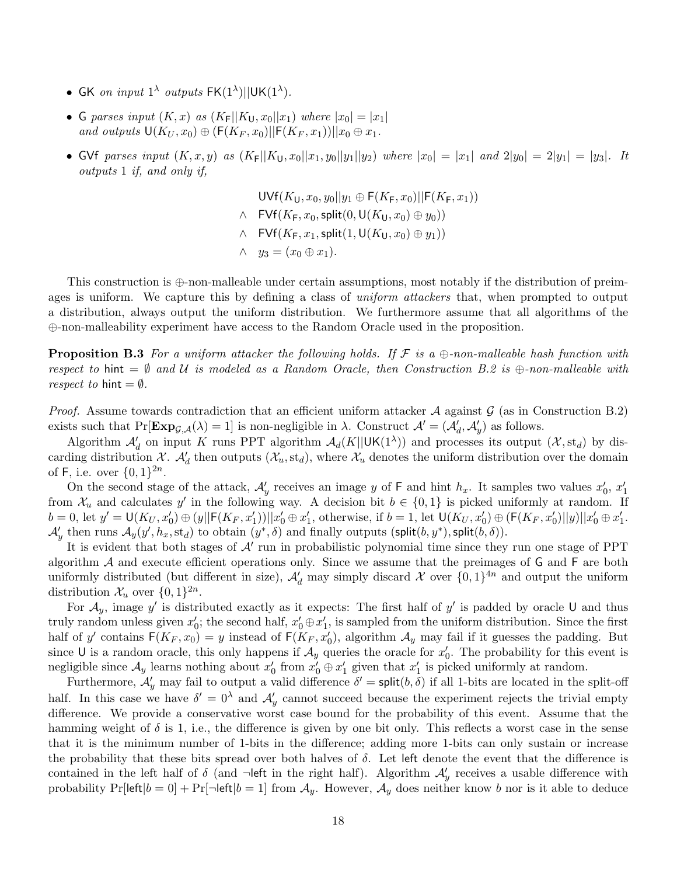- GK on input  $1^{\lambda}$  outputs  $FK(1^{\lambda})||UK(1^{\lambda})$ .
- G parses input  $(K, x)$  as  $(K_F||K_U, x_0||x_1)$  where  $|x_0| = |x_1|$ and outputs  $\mathsf{U}(K_U, x_0) \oplus (\mathsf{F}(K_F, x_0)||\mathsf{F}(K_F, x_1))||x_0 \oplus x_1$ .
- GVf parses input  $(K, x, y)$  as  $(K_F||K_U, x_0||x_1, y_0||y_1||y_2)$  where  $|x_0| = |x_1|$  and  $2|y_0| = 2|y_1| = |y_3|$ . It outputs 1 if, and only if,

 $UVf(K_{11}, x_0, y_0||y_1 \oplus F(K_{F}, x_0)||F(K_{F}, x_1))$  $\wedge$  FVf $(K_F, x_0, \text{split}(0, \mathsf{U}(K_H, x_0) \oplus y_0))$  $\wedge$  FVf $(K_F, x_1, \text{split}(1, \mathsf{U}(K_H, x_0) \oplus y_1))$  $\wedge \quad y_3 = (x_0 \oplus x_1).$ 

This construction is ⊕-non-malleable under certain assumptions, most notably if the distribution of preimages is uniform. We capture this by defining a class of *uniform attackers* that, when prompted to output a distribution, always output the uniform distribution. We furthermore assume that all algorithms of the ⊕-non-malleability experiment have access to the Random Oracle used in the proposition.

**Proposition B.3** For a uniform attacker the following holds. If  $\mathcal F$  is a  $\bigoplus$ -non-malleable hash function with respect to hint =  $\emptyset$  and U is modeled as a Random Oracle, then Construction B.2 is  $\oplus$ -non-malleable with respect to hint  $=\emptyset$ .

*Proof.* Assume towards contradiction that an efficient uniform attacker A against  $\mathcal{G}$  (as in Construction B.2) exists such that  $Pr[\mathbf{Exp}_{\mathcal{G},\mathcal{A}}(\lambda) = 1]$  is non-negligible in  $\lambda$ . Construct  $\mathcal{A}' = (\mathcal{A}'_d, \mathcal{A}'_y)$  as follows.

Algorithm  $\mathcal{A}'_d$  on input K runs PPT algorithm  $\mathcal{A}_d(K||UK(1^{\lambda}))$  and processes its output  $(\mathcal{X}, \text{st}_d)$  by discarding distribution  $\chi$ .  $\mathcal{A}'_d$  then outputs  $(\mathcal{X}_u, \text{std})$ , where  $\mathcal{X}_u$  denotes the uniform distribution over the domain of F, i.e. over  $\{0,1\}^{2n}$ .

On the second stage of the attack,  $\mathcal{A}'_y$  receives an image y of F and hint  $h_x$ . It samples two values  $x'_0, x'_1$ from  $\mathcal{X}_u$  and calculates y' in the following way. A decision bit  $b \in \{0,1\}$  is picked uniformly at random. If  $b = 0$ , let  $y' = U(K_U, x'_0) \oplus (y || F(K_F, x'_1)) || x'_0 \oplus x'_1$ , otherwise, if  $b = 1$ , let  $U(K_U, x'_0) \oplus (F(K_F, x'_0) || y) || x'_0 \oplus x'_1$ .  $\mathcal{A}'_y$  then runs  $\mathcal{A}_y(y', h_x, \text{st}_d)$  to obtain  $(y^*, \delta)$  and finally outputs (split $(b, y^*)$ , split $(b, \delta)$ ).

It is evident that both stages of  $A'$  run in probabilistic polynomial time since they run one stage of PPT algorithm  $A$  and execute efficient operations only. Since we assume that the preimages of  $G$  and  $F$  are both uniformly distributed (but different in size),  $\mathcal{A}'_d$  may simply discard X over  $\{0,1\}^{4n}$  and output the uniform distribution  $\mathcal{X}_u$  over  $\{0,1\}^{2n}$ .

For  $\mathcal{A}_y$ , image y' is distributed exactly as it expects: The first half of y' is padded by oracle U and thus truly random unless given  $x'_0$ ; the second half,  $x'_0 \oplus x'_1$ , is sampled from the uniform distribution. Since the first half of y' contains  $F(K_F, x_0) = y$  instead of  $F(K_F, x_0')$ , algorithm  $\mathcal{A}_y$  may fail if it guesses the padding. But since U is a random oracle, this only happens if  $\mathcal{A}_y$  queries the oracle for  $x'_0$ . The probability for this event is negligible since  $\mathcal{A}_y$  learns nothing about  $x'_0$  from  $x'_0 \oplus x'_1$  given that  $x'_1$  is picked uniformly at random.

Furthermore,  $\mathcal{A}'_y$  may fail to output a valid difference  $\delta' = \mathsf{split}(b, \delta)$  if all 1-bits are located in the split-off half. In this case we have  $\delta' = 0^{\lambda}$  and  $\mathcal{A}'_y$  cannot succeed because the experiment rejects the trivial empty difference. We provide a conservative worst case bound for the probability of this event. Assume that the hamming weight of  $\delta$  is 1, i.e., the difference is given by one bit only. This reflects a worst case in the sense that it is the minimum number of 1-bits in the difference; adding more 1-bits can only sustain or increase the probability that these bits spread over both halves of  $\delta$ . Let left denote the event that the difference is contained in the left half of  $\delta$  (and  $\neg$ left in the right half). Algorithm  $\mathcal{A}'_y$  receives a usable difference with probability  $Pr[left|b=0] + Pr[\neg left|b=1]$  from  $A_y$ . However,  $A_y$  does neither know b nor is it able to deduce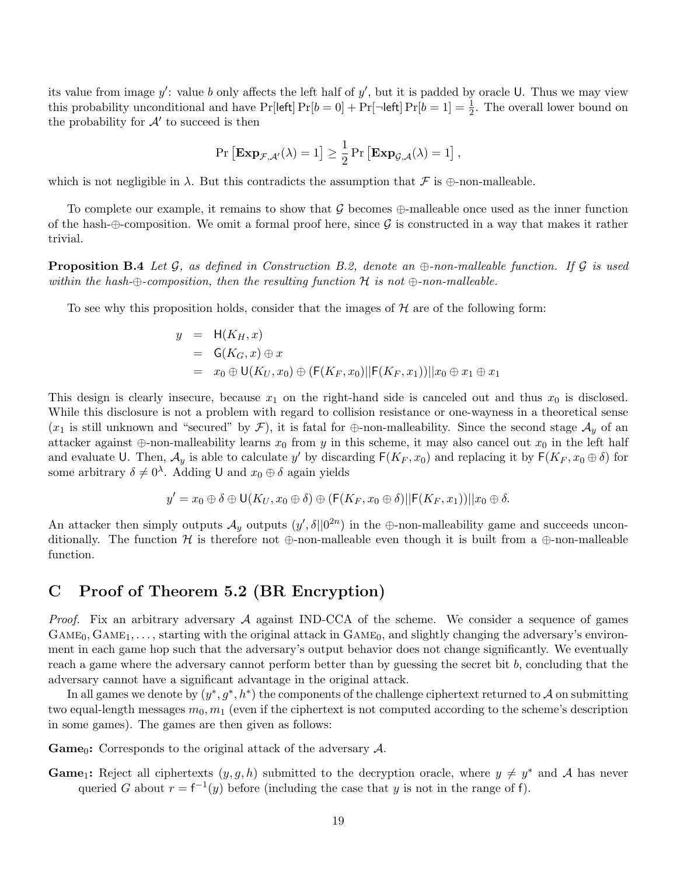its value from image  $y'$ : value b only affects the left half of  $y'$ , but it is padded by oracle U. Thus we may view this probability unconditional and have  $Pr[left] Pr[b = 0] + Pr[\neg left] Pr[b = 1] = \frac{1}{2}$ . The overall lower bound on the probability for  $\mathcal{A}'$  to succeed is then

$$
\Pr\left[\mathbf{Exp}_{\mathcal{F},\mathcal{A}'}(\lambda) = 1\right] \ge \frac{1}{2} \Pr\left[\mathbf{Exp}_{\mathcal{G},\mathcal{A}}(\lambda) = 1\right],
$$

which is not negligible in  $\lambda$ . But this contradicts the assumption that  $\mathcal F$  is  $\oplus$ -non-malleable.

To complete our example, it remains to show that G becomes  $\oplus$ -malleable once used as the inner function of the hash-⊕-composition. We omit a formal proof here, since  $\mathcal G$  is constructed in a way that makes it rather trivial.

**Proposition B.4** Let G, as defined in Construction B.2, denote an  $\oplus$ -non-malleable function. If G is used within the hash-⊕-composition, then the resulting function H is not  $\oplus$ -non-malleable.

To see why this proposition holds, consider that the images of  $H$  are of the following form:

$$
y = H(K_H, x)
$$
  
=  $G(K_G, x) \oplus x$   
=  $x_0 \oplus U(K_U, x_0) \oplus (F(K_F, x_0)||F(K_F, x_1))||x_0 \oplus x_1 \oplus x_1$ 

This design is clearly insecure, because  $x_1$  on the right-hand side is canceled out and thus  $x_0$  is disclosed. While this disclosure is not a problem with regard to collision resistance or one-wayness in a theoretical sense  $(x_1)$  is still unknown and "secured" by  $\mathcal{F}$ ), it is fatal for  $\oplus$ -non-malleability. Since the second stage  $\mathcal{A}_y$  of an attacker against  $\oplus$ -non-malleability learns  $x_0$  from y in this scheme, it may also cancel out  $x_0$  in the left half and evaluate U. Then,  $\mathcal{A}_y$  is able to calculate y' by discarding  $F(K_F, x_0)$  and replacing it by  $F(K_F, x_0 \oplus \delta)$  for some arbitrary  $\delta \neq 0^{\lambda}$ . Adding U and  $x_0 \oplus \delta$  again yields

$$
y' = x_0 \oplus \delta \oplus \mathsf{U}(K_U, x_0 \oplus \delta) \oplus (\mathsf{F}(K_F, x_0 \oplus \delta)||\mathsf{F}(K_F, x_1))||x_0 \oplus \delta.
$$

An attacker then simply outputs  $\mathcal{A}_y$  outputs  $(y', \delta || 0^{2n})$  in the ⊕-non-malleability game and succeeds unconditionally. The function H is therefore not  $\oplus$ -non-malleable even though it is built from a  $\oplus$ -non-malleable function.

# C Proof of Theorem 5.2 (BR Encryption)

*Proof.* Fix an arbitrary adversary  $A$  against IND-CCA of the scheme. We consider a sequence of games  $GAME<sub>0</sub>, GAME<sub>1</sub>, \ldots$ , starting with the original attack in  $GAME<sub>0</sub>$ , and slightly changing the adversary's environment in each game hop such that the adversary's output behavior does not change significantly. We eventually reach a game where the adversary cannot perform better than by guessing the secret bit b, concluding that the adversary cannot have a significant advantage in the original attack.

In all games we denote by  $(y^*, g^*, h^*)$  the components of the challenge ciphertext returned to A on submitting two equal-length messages  $m_0, m_1$  (even if the ciphertext is not computed according to the scheme's description in some games). The games are then given as follows:

**Game**<sub>0</sub>: Corresponds to the original attack of the adversary  $A$ .

**Game**<sub>1</sub>: Reject all ciphertexts  $(y, g, h)$  submitted to the decryption oracle, where  $y \neq y^*$  and A has never queried G about  $r = f^{-1}(y)$  before (including the case that y is not in the range of f).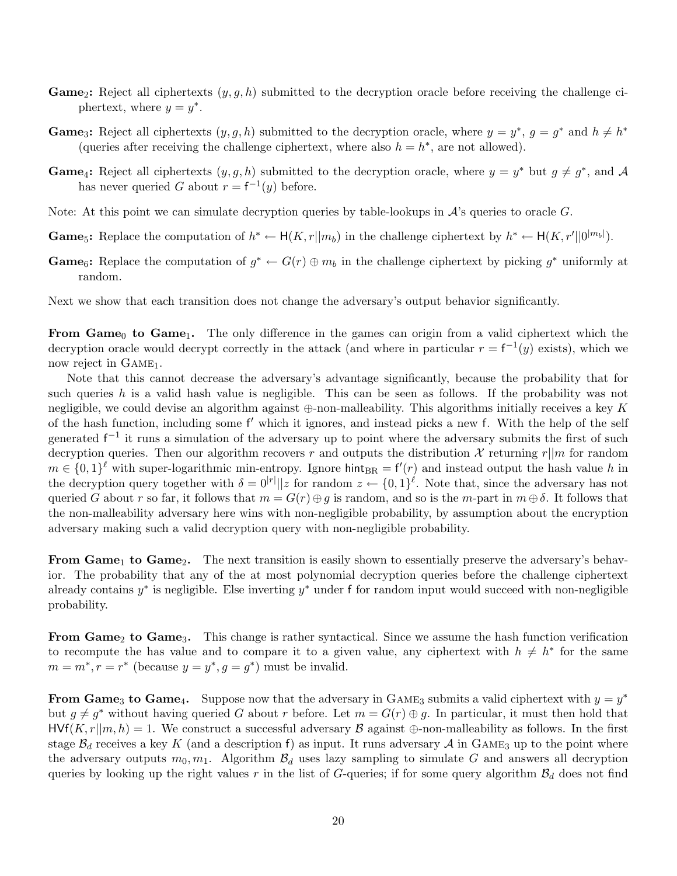- **Game**<sub>2</sub>: Reject all ciphertexts  $(y, g, h)$  submitted to the decryption oracle before receiving the challenge ciphertext, where  $y = y^*$ .
- **Game**<sub>3</sub>: Reject all ciphertexts  $(y, g, h)$  submitted to the decryption oracle, where  $y = y^*$ ,  $g = g^*$  and  $h \neq h^*$ (queries after receiving the challenge ciphertext, where also  $h = h^*$ , are not allowed).
- **Game**<sub>4</sub>: Reject all ciphertexts  $(y, g, h)$  submitted to the decryption oracle, where  $y = y^*$  but  $g \neq g^*$ , and A has never queried G about  $r = f^{-1}(y)$  before.
- Note: At this point we can simulate decryption queries by table-lookups in  $\mathcal{A}$ 's queries to oracle  $G$ .
- **Game**<sub>5</sub>: Replace the computation of  $h^* \leftarrow H(K, r||m_b)$  in the challenge ciphertext by  $h^* \leftarrow H(K, r'||0^{|m_b|})$ .
- **Game**<sub>6</sub>: Replace the computation of  $g^* \leftarrow G(r) \oplus m_b$  in the challenge ciphertext by picking  $g^*$  uniformly at random.

Next we show that each transition does not change the adversary's output behavior significantly.

From Game<sub>0</sub> to Game<sub>1</sub>. The only difference in the games can origin from a valid ciphertext which the decryption oracle would decrypt correctly in the attack (and where in particular  $r = f^{-1}(y)$  exists), which we now reject in  $GAME_1$ .

Note that this cannot decrease the adversary's advantage significantly, because the probability that for such queries h is a valid hash value is negligible. This can be seen as follows. If the probability was not negligible, we could devise an algorithm against  $\oplus$ -non-malleability. This algorithms initially receives a key K of the hash function, including some f' which it ignores, and instead picks a new f. With the help of the self generated  $f^{-1}$  it runs a simulation of the adversary up to point where the adversary submits the first of such decryption queries. Then our algorithm recovers r and outputs the distribution X returning  $r||m$  for random  $m \in \{0,1\}^{\ell}$  with super-logarithmic min-entropy. Ignore hint<sub>BR</sub> =  $f'(r)$  and instead output the hash value h in the decryption query together with  $\delta = 0^{|r|} ||z$  for random  $z \leftarrow \{0,1\}^{\ell}$ . Note that, since the adversary has not queried G about r so far, it follows that  $m = G(r) \oplus g$  is random, and so is the m-part in  $m \oplus \delta$ . It follows that the non-malleability adversary here wins with non-negligible probability, by assumption about the encryption adversary making such a valid decryption query with non-negligible probability.

From Game<sub>1</sub> to Game<sub>2</sub>. The next transition is easily shown to essentially preserve the adversary's behavior. The probability that any of the at most polynomial decryption queries before the challenge ciphertext already contains  $y^*$  is negligible. Else inverting  $y^*$  under f for random input would succeed with non-negligible probability.

From Game<sub>2</sub> to Game<sub>3</sub>. This change is rather syntactical. Since we assume the hash function verification to recompute the has value and to compare it to a given value, any ciphertext with  $h \neq h^*$  for the same  $m = m^*, r = r^*$  (because  $y = y^*, g = g^*$ ) must be invalid.

From Game<sub>3</sub> to Game<sub>4</sub>. Suppose now that the adversary in GAME<sub>3</sub> submits a valid ciphertext with  $y = y^*$ but  $g \neq g^*$  without having queried G about r before. Let  $m = G(r) \oplus g$ . In particular, it must then hold that  $HVf(K, r|m, h) = 1$ . We construct a successful adversary B against  $\oplus$ -non-malleability as follows. In the first stage  $\mathcal{B}_d$  receives a key K (and a description f) as input. It runs adversary A in GAME<sub>3</sub> up to the point where the adversary outputs  $m_0, m_1$ . Algorithm  $\mathcal{B}_d$  uses lazy sampling to simulate G and answers all decryption queries by looking up the right values r in the list of G-queries; if for some query algorithm  $\mathcal{B}_d$  does not find